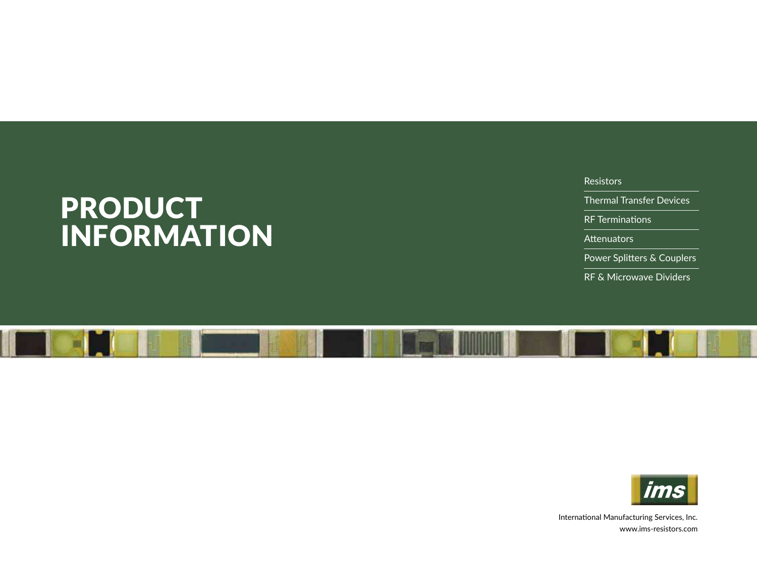# PRODUCT INFORMATION

Resistors

Thermal Transfer Devices

RF Terminations

**Attenuators** 

Power Splitters & Couplers

RF & Microwave Dividers



International Manufacturing Services, Inc. www.ims-resistors.com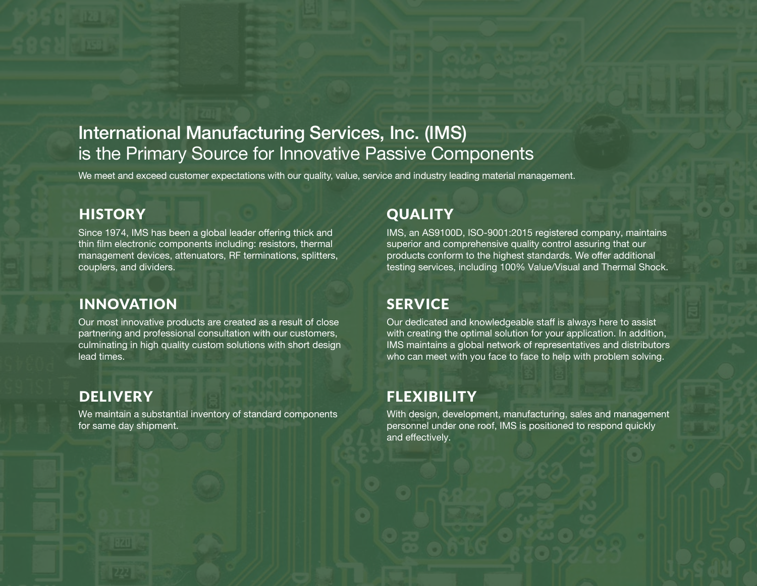## International Manufacturing Services, Inc. (IMS) is the Primary Source for Innovative Passive Components

We meet and exceed customer expectations with our quality, value, service and industry leading material management.

## **HISTORY**

Since 1974, IMS has been a global leader offering thick and thin film electronic components including: resistors, thermal management devices, attenuators, RF terminations, splitters, couplers, and dividers.

## INNOVATION

Our most innovative products are created as a result of close partnering and professional consultation with our customers, culminating in high quality custom solutions with short design lead times.

## **DELIVERY**

We maintain a substantial inventory of standard components for same day shipment.

## **QUALITY**

IMS, an AS9100D, ISO-9001:2015 registered company, maintains superior and comprehensive quality control assuring that our products conform to the highest standards. We offer additional testing services, including 100% Value/Visual and Thermal Shock.

## **SERVICE**

Our dedicated and knowledgeable staff is always here to assist with creating the optimal solution for your application. In addition, IMS maintains a global network of representatives and distributors who can meet with you face to face to help with problem solving.

## FLEXIBILITY

With design, development, manufacturing, sales and management personnel under one roof, IMS is positioned to respond quickly and effectively.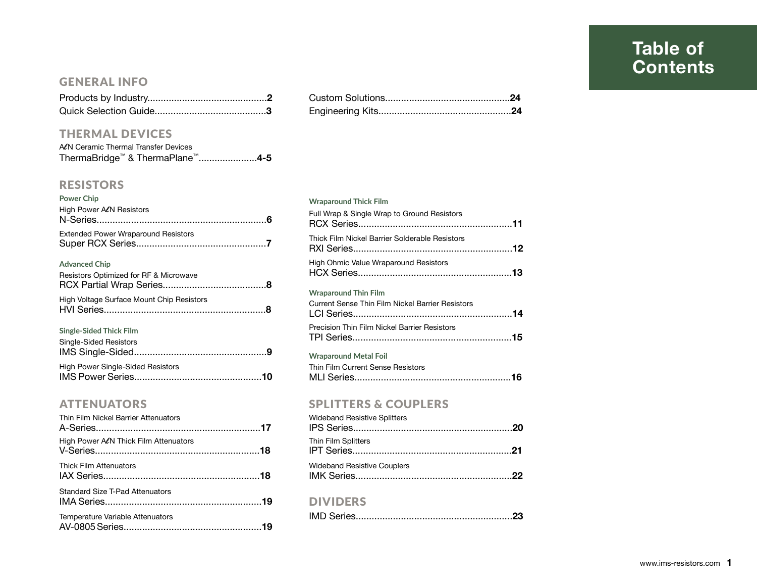## **Table of Contents**

#### GENERAL INFO

#### THERMAL DEVICES

| ALN Ceramic Thermal Transfer Devices                     |  |
|----------------------------------------------------------|--|
| ThermaBridge <sup>™</sup> & ThermaPlane <sup>™</sup> 4-5 |  |

#### **RESISTORS**

| <b>Power Chip</b><br>High Power ALN Resistors                  |  |
|----------------------------------------------------------------|--|
|                                                                |  |
| <b>Extended Power Wraparound Resistors</b>                     |  |
| <b>Advanced Chip</b><br>Resistors Optimized for RF & Microwave |  |
| High Voltage Surface Mount Chip Resistors                      |  |
| Single-Sided Thick Film<br><b>Single-Sided Resistors</b>       |  |
| High Power Single-Sided Resistors                              |  |

| Thin Film Nickel Barrier Attenuators  |  |
|---------------------------------------|--|
| High Power ALN Thick Film Attenuators |  |
| <b>Thick Film Attenuators</b>         |  |
| Standard Size T-Pad Attenuators       |  |
| Temperature Variable Attenuators      |  |

#### **Wraparound Thick Film**

| Full Wrap & Single Wrap to Ground Resistors    |  |
|------------------------------------------------|--|
| Thick Film Nickel Barrier Solderable Resistors |  |
| <b>High Ohmic Value Wraparound Resistors</b>   |  |

#### **Wraparound Thin Film**

| <b>Current Sense Thin Film Nickel Barrier Resistors</b> |  |
|---------------------------------------------------------|--|
| <b>Precision Thin Film Nickel Barrier Resistors</b>     |  |

#### **Wraparound Metal Foil**

| Thin Film Current Sense Resistors |  |
|-----------------------------------|--|
|                                   |  |

#### ATTENUATORS SPLITTERS & COUPLERS

| <b>Wideband Resistive Splitters</b> |  |
|-------------------------------------|--|
| Thin Film Splitters                 |  |
| <b>Wideband Resistive Couplers</b>  |  |

#### DIVIDERS

|--|--|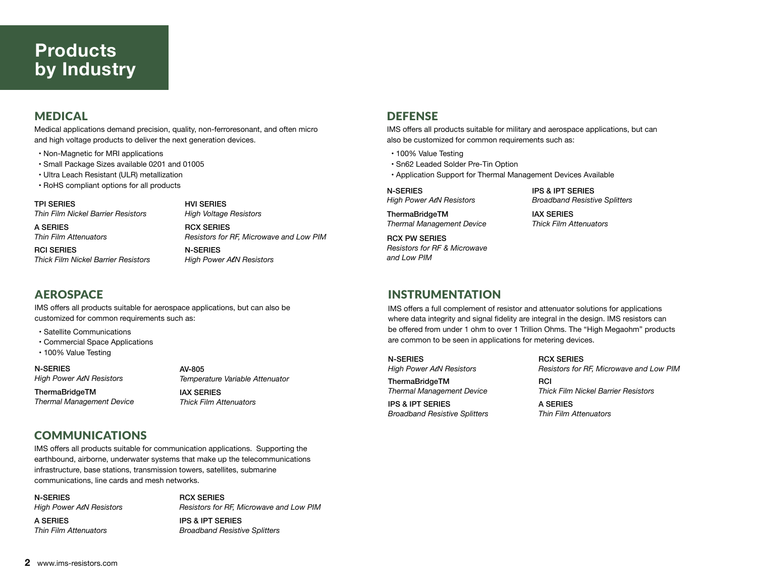## **Products by Industry**

Medical applications demand precision, quality, non-ferroresonant, and often micro and high voltage products to deliver the next generation devices.

- Non-Magnetic for MRI applications
- Small Package Sizes available 0201 and 01005
- Ultra Leach Resistant (ULR) metallization
- RoHS compliant options for all products

TPI SERIES *Thin Film Nickel Barrier Resistors* HVI SERIES *High Voltage Resistors*

RCX SERIES *Resistors for RF, Microwave and Low PIM*

RCI SERIES *Thick Film Nickel Barrier Resistors*

#### N-SERIES *High Power AlN Resistors*

#### **AFROSPACE**

*Thin Film Attenuators*

A SERIES

IMS offers all products suitable for aerospace applications, but can also be customized for common requirements such as:

- Satellite Communications
- Commercial Space Applications
- 100% Value Testing

*High Power AlN Resistors*

*Thermal Management Device*

*Temperature Variable Attenuator* IAX SERIES *Thick Film Attenuators*

AV-805

#### COMMUNICATIONS

IMS offers all products suitable for communication applications. Supporting the earthbound, airborne, underwater systems that make up the telecommunications infrastructure, base stations, transmission towers, satellites, submarine communications, line cards and mesh networks.

#### N-SERIES

#### RCX SERIES *Resistors for RF, Microwave and Low PIM*

*High Power AlN Resistors*

A SERIES *Thin Film Attenuators* IPS & IPT SERIES *Broadband Resistive Splitters*

### MEDICAL DEFENSE

IMS offers all products suitable for military and aerospace applications, but can also be customized for common requirements such as:

IPS & IPT SERIES

*Thick Film Attenuators*

IAX SERIES

*Broadband Resistive Splitters*

- 100% Value Testing
- Sn62 Leaded Solder Pre-Tin Option
- Application Support for Thermal Management Devices Available

N-SERIES *High Power AlN Resistors*

ThermaBridgeTM *Thermal Management Device*

RCX PW SERIES *Resistors for RF & Microwave and Low PIM*

#### INSTRUMENTATION

IMS offers a full complement of resistor and attenuator solutions for applications where data integrity and signal fidelity are integral in the design. IMS resistors can be offered from under 1 ohm to over 1 Trillion Ohms. The "High Megaohm" products are common to be seen in applications for metering devices.

#### N-SERIES

N-SERIES *High Power AlN Resistors*

ThermaBridgeTM

IPS & IPT SERIES *Broadband Resistive Splitters* RCX SERIES *Resistors for RF, Microwave and Low PIM*

*Thermal Management Device* ThermaBridgeTM *Thick Film Nickel Barrier Resistors* **RCI** 

> A SERIES *Thin Film Attenuators*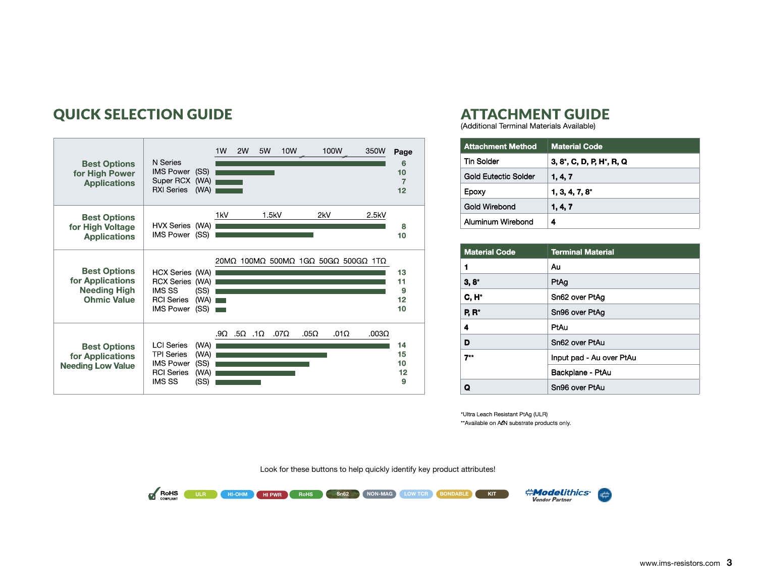| <b>Best Options</b><br>for High Power<br><b>Applications</b>                         | N Series<br>IMS Power (SS)<br>Super RCX (WA)<br><b>RXI Series</b><br>(WA)                                                         | 10 <sub>W</sub><br>1W<br>2W<br>5W<br>100W<br>350W                                          | Page<br>6<br>10<br>$\overline{7}$<br>12 |
|--------------------------------------------------------------------------------------|-----------------------------------------------------------------------------------------------------------------------------------|--------------------------------------------------------------------------------------------|-----------------------------------------|
| <b>Best Options</b><br>for High Voltage<br><b>Applications</b>                       | HVX Series (WA)<br>IMS Power (SS)                                                                                                 | 1kV<br>2kV<br>2.5kV<br>1.5kV                                                               | 8<br>10                                 |
| <b>Best Options</b><br>for Applications<br><b>Needing High</b><br><b>Ohmic Value</b> | HCX Series (WA)<br>RCX Series (WA)<br><b>IMS SS</b><br>(SS)<br><b>RCI Series</b><br>(WA)<br>IMS Power (SS)                        | 20ΜΩ 100ΜΩ 500ΜΩ 1GΩ 50GΩ 500GΩ 1TΩ                                                        | 13<br>11<br>9<br>12<br>10               |
| <b>Best Options</b><br>for Applications<br><b>Needing Low Value</b>                  | <b>LCI</b> Series<br>(WA)<br><b>TPI Series</b><br>(WA)<br>(SS)<br><b>IMS Power</b><br><b>RCI</b> Series<br>(WA)<br>IMS SS<br>(SS) | $.5Q$ $.1Q$<br>.05 $\Omega$<br>$.01\Omega$<br>.003 $\Omega$<br>.9 $\Omega$<br>.07 $\Omega$ | 14<br>15<br>10<br>12<br>9               |

## **QUICK SELECTION GUIDE**

## **ATTACHMENT GUIDE**

(Additional Terminal Materials Available)

| <b>Attachment Method</b> | <b>Material Code</b>                     |
|--------------------------|------------------------------------------|
| Tin Solder               | $3, 8^{\circ}, C, D, P, H^{\circ}, R, Q$ |
| Gold Eutectic Solder     | 1, 4, 7                                  |
| Epoxy                    | $1, 3, 4, 7, 8^*$                        |
| Gold Wirebond            | 1, 4, 7                                  |
| Aluminum Wirebond        | 4                                        |

| <b>Material Code</b> | <b>Terminal Material</b> |
|----------------------|--------------------------|
| 1                    | Au                       |
| $3, 8^*$             | PtAg                     |
| <b>C, H*</b>         | Sn62 over PtAq           |
| $P, R^*$             | Sn96 over PtAg           |
| 4                    | PtAu                     |
| D                    | Sn62 over PtAu           |
| $7**$                | Input pad - Au over PtAu |
|                      | Backplane - PtAu         |
|                      | Sn96 over PtAu           |

**Modelithics**<br>Vendor Partner

 $\Rightarrow$ 

\*Ultra Leach Resistant PtAg (ULR) \*\*Available on ALN substrate products only.

Look for these buttons to help quickly identify key product attributes!

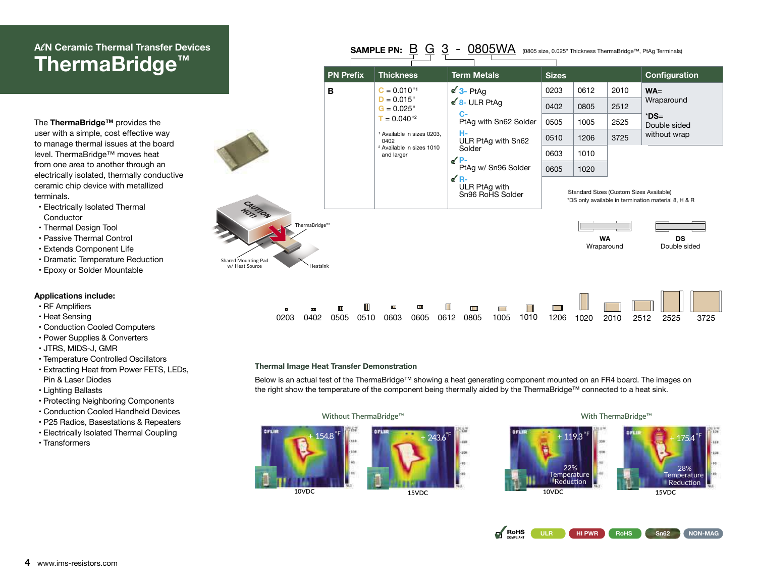## **<sup>A</sup> SAMPLE PN:** B G 3 - 0805WA(0805 size, 0.025" Thickness ThermaBridge™, PtAg Terminals) *l***N Ceramic Thermal Transfer Devices ThermaBridge™**

The **ThermaBridge™** provides the user with a simple, cost effective way to manage thermal issues at the board level. ThermaBridge™ moves heat from one area to another through an electrically isolated, thermally conductive ceramic chip device with metallized terminals.

- Electrically Isolated Thermal Conductor
- Thermal Design Tool
- Passive Thermal Control
- Extends Component Life
- Dramatic Temperature Reduction
- Epoxy or Solder Mountable

#### **Applications include:**

- RF Amplifiers
- Heat Sensing
- Conduction Cooled Computers
- Power Supplies & Converters
- JTRS, MIDS-J, GMR
- Temperature Controlled Oscillators
- Extracting Heat from Power FETS, LEDs, Pin & Laser Diodes
- Lighting Ballasts
- Protecting Neighboring Components
- Conduction Cooled Handheld Devices
- P25 Radios, Basestations & Repeaters
- Electrically Isolated Thermal Coupling
- Transformers

| <b>PN Prefix</b><br><b>Thickness</b><br><b>Term Metals</b><br>Configuration<br><b>Sizes</b><br>$\sqrt{3}$ - PtAg<br>0612<br>2010<br>в<br>$C = 0.010^{11}$<br>0203<br>$WA=$<br>$D = 0.015"$<br>Wraparound<br>$\leq 8$ - ULR PtAg<br>0402<br>0805<br>2512<br>$G = 0.025"$<br><b>C-</b><br>$*$ DS $=$<br>$T = 0.040$ <sup>"2</sup><br>PtAg with Sn62 Solder<br>0505<br>1005<br>2525<br>Double sided<br>н-<br>without wrap<br><sup>1</sup> Available in sizes 0203,<br>0510<br>3725<br>1206<br>ULR PtAg with Sn62<br>0402<br><sup>2</sup> Available in sizes 1010<br>Solder<br>0603<br>1010<br>and larger<br>$\sqrt{P}$<br>PtAg w/ Sn96 Solder<br>0605<br>1020<br>$\sqrt{R}$<br>ULR PtAg with<br>Standard Sizes (Custom Sizes Available)<br>Sn96 RoHS Solder<br>*DS only available in termination material 8, H & R<br>ThermaBridge™ | CAUTION<br><b>WA</b><br><b>DS</b><br>Double sided<br>Wraparound<br>Heatsink |  | SAMPLE PN: <u>D</u><br>으 | <u>ت</u> | <b>UQUOVVA</b> |  |  | (0805 size, 0.025" Thickness ThermaBridge™, PtAg Terminals) |
|----------------------------------------------------------------------------------------------------------------------------------------------------------------------------------------------------------------------------------------------------------------------------------------------------------------------------------------------------------------------------------------------------------------------------------------------------------------------------------------------------------------------------------------------------------------------------------------------------------------------------------------------------------------------------------------------------------------------------------------------------------------------------------------------------------------------------------|-----------------------------------------------------------------------------|--|--------------------------|----------|----------------|--|--|-------------------------------------------------------------|
|                                                                                                                                                                                                                                                                                                                                                                                                                                                                                                                                                                                                                                                                                                                                                                                                                                  |                                                                             |  |                          |          |                |  |  |                                                             |
|                                                                                                                                                                                                                                                                                                                                                                                                                                                                                                                                                                                                                                                                                                                                                                                                                                  |                                                                             |  |                          |          |                |  |  |                                                             |
|                                                                                                                                                                                                                                                                                                                                                                                                                                                                                                                                                                                                                                                                                                                                                                                                                                  |                                                                             |  |                          |          |                |  |  |                                                             |
|                                                                                                                                                                                                                                                                                                                                                                                                                                                                                                                                                                                                                                                                                                                                                                                                                                  |                                                                             |  |                          |          |                |  |  |                                                             |
|                                                                                                                                                                                                                                                                                                                                                                                                                                                                                                                                                                                                                                                                                                                                                                                                                                  |                                                                             |  |                          |          |                |  |  |                                                             |

#### **Thermal Image Heat Transfer Demonstration**

Below is an actual test of the ThermaBridge™ showing a heat generating component mounted on an FR4 board. The images on the right show the temperature of the component being thermally aided by the ThermaBridge™ connected to a heat sink.







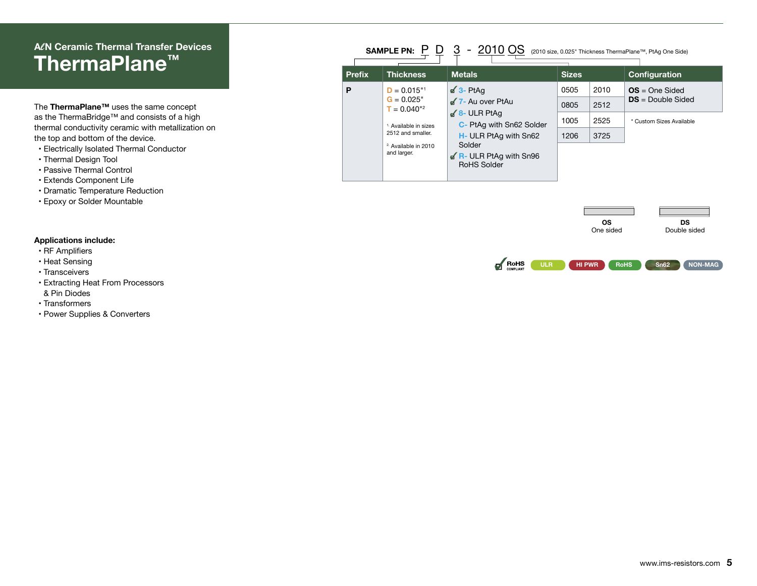## **A***l***N Ceramic Thermal Transfer Devices ThermaPlane™**

The **ThermaPlane™** uses the same concept as the ThermaBridge™ and consists of a high thermal conductivity ceramic with metallization on the top and bottom of the device.

- Electrically Isolated Thermal Conductor
- Thermal Design Tool
- Passive Thermal Control
- Extends Component Life
- Dramatic Temperature Reduction
- Epoxy or Solder Mountable

|               | SAMPLE PN: P                                          | <u>3 - 2010 OS</u>                                                         | (2010 size, 0.025" Thickness ThermaPlane™, PtAq One Side) |      |                          |  |  |  |
|---------------|-------------------------------------------------------|----------------------------------------------------------------------------|-----------------------------------------------------------|------|--------------------------|--|--|--|
| <b>Prefix</b> | <b>Thickness</b>                                      | <b>Metals</b>                                                              | <b>Sizes</b>                                              |      | <b>Configuration</b>     |  |  |  |
| P             | $D = 0.015$ "1                                        | $\leq$ 3- PtAq                                                             | 0505                                                      | 2010 | $OS = One$ Sided         |  |  |  |
|               | $G = 0.025"$<br>$T = 0.040^{42}$                      | 1- Au over PtAu                                                            | 0805                                                      | 2512 | $DS = Double Sided$      |  |  |  |
|               | <sup>1.</sup> Available in sizes<br>2512 and smaller. | $\sqrt{8}$ - ULR PtAa<br>C- PtAg with Sn62 Solder<br>H- ULR PtAg with Sn62 | 1005                                                      | 2525 | * Custom Sizes Available |  |  |  |
|               |                                                       |                                                                            | 1206                                                      | 3725 |                          |  |  |  |
|               | <sup>2.</sup> Available in 2010<br>and larger.        | Solder<br>$\mathcal{A}$ R- ULR PtAg with Sn96<br>RoHS Solder               |                                                           |      |                          |  |  |  |

| <b>OS</b> | DS           |
|-----------|--------------|
| One sided | Double sided |



#### **Applications include:**

- RF Amplifiers
- Heat Sensing
- Transceivers
- Extracting Heat From Processors
- & Pin Diodes
- Transformers
- Power Supplies & Converters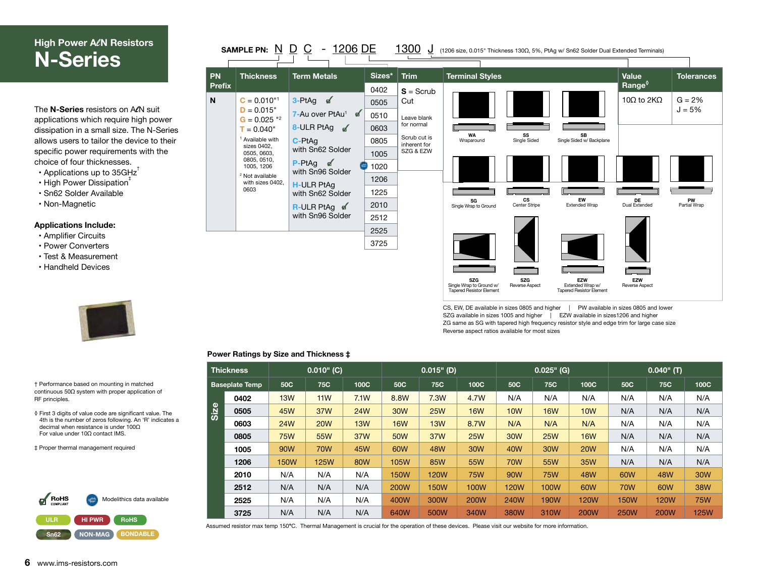## **High Power A** $\ell$ **N Resistors N-Series**

The **N-Series** resistors on A*l*N suit applications which require high power dissipation in a small size. The N-Series allows users to tailor the device to their specific power requirements with the choice of four thicknesses.

- Applications up to 35GHz $^{\dagger}$
- High Power Dissipation $<sup>†</sup>$ </sup>
- Sn62 Solder Available
- Non-Magnetic

#### **Applications Include:**

- Amplifier Circuits
- Power Converters
- Test & Measurement
- Handheld Devices



| † Performance based on mounting in matched              |
|---------------------------------------------------------|
| continuous $50\Omega$ system with proper application of |
| RF principles.                                          |

◊ First 3 digits of value code are significant value. The 4th is the number of zeros following. An 'R' indicates a decimal when resistance is under 100Ω For value under 10Ω contact IMS.

‡ Proper thermal management required



|                            | SAMPLE PN: N                                                                | $\mathbf{D}$<br>$\overline{C}$<br>- <u>1206 DE</u>        |                      | <u> 1300 </u><br>J                        | (1206 size, 0.015" Thickness 130Ω, 5%, PtAq w/ Sn62 Solder Dual Extended Terminals) |                    |                                |                             |                      |  |  |  |                             |                     |                     |                     |                    |
|----------------------------|-----------------------------------------------------------------------------|-----------------------------------------------------------|----------------------|-------------------------------------------|-------------------------------------------------------------------------------------|--------------------|--------------------------------|-----------------------------|----------------------|--|--|--|-----------------------------|---------------------|---------------------|---------------------|--------------------|
| <b>PN</b><br><b>Prefix</b> | <b>Thickness</b>                                                            | <b>Term Metals</b>                                        | Sizes*<br>0402       | <b>Trim</b><br>$S =$ Scrub                | <b>Terminal Styles</b>                                                              |                    |                                | Value<br>Range <sup>0</sup> | <b>Tolerances</b>    |  |  |  |                             |                     |                     |                     |                    |
| N                          | $C = 0.010^{11}$<br>$D = 0.015"$<br>$G = 0.025$ "2                          | $3-PtAg$<br>7-Au over PtAu <sup>1</sup>                   | 0505<br>0510         | Cut<br>Leave blank<br>for normal          |                                                                                     |                    |                                | 10 $\Omega$ to 2K $\Omega$  | $G = 2%$<br>$J = 5%$ |  |  |  |                             |                     |                     |                     |                    |
|                            | $T = 0.040"$<br><sup>1</sup> Available with<br>sizes 0402,<br>0505, 0603,   | 8-ULR PtAg $\sqrt{ }$<br>C-PtAq<br>with Sn62 Solder       | 0603<br>0805<br>1005 | Scrub cut is<br>inherent for<br>SZG & EZW | <b>WA</b><br>Wraparound                                                             | SS<br>Single Sided | SB<br>Single Sided w/Backplane |                             |                      |  |  |  |                             |                     |                     |                     |                    |
|                            | 0805, 0510,<br>1005, 1206<br><sup>2</sup> Not available<br>with sizes 0402, | $P-PtAg$<br>with Sn96 Solder<br><b>H-ULR PtAg</b>         | 1020<br>1206         |                                           |                                                                                     |                    |                                |                             |                      |  |  |  |                             |                     |                     |                     |                    |
|                            | 0603                                                                        | with Sn62 Solder<br><b>R-ULR PtAg</b><br>with Sn96 Solder | 1225<br>2010<br>2512 |                                           |                                                                                     |                    |                                |                             |                      |  |  |  | SG<br>Single Wrap to Ground | CS<br>Center Stripe | EW<br>Extended Wrap | DE<br>Dual Extended | PW<br>Partial Wrap |
|                            |                                                                             |                                                           | 2525<br>3725         |                                           |                                                                                     |                    |                                |                             |                      |  |  |  |                             |                     |                     |                     |                    |
|                            |                                                                             |                                                           |                      |                                           |                                                                                     |                    |                                |                             |                      |  |  |  |                             |                     |                     |                     |                    |

**SZG** Single Wrap to Ground w/ Tapered Resistor Element

CS, EW, DE available in sizes 0805 and higher | PW available in sizes 0805 and lower SZG available in sizes 1005 and higher | EZW available in sizes1206 and higher ZG same as SG with tapered high frequency resistor style and edge trim for large case size Reverse aspect ratios available for most sizes

**SZG** Reverse Aspect

**EZW** Extended Wrap w/ Tapered Resistor Element

**EZW** Reverse Aspect

#### **Power Ratings by Size and Thickness ‡**

|                              | <b>Thickness</b> |             | $0.010"$ (C) |            |             | $0.015$ " (D) |             |             | $0.025$ " (G) |             |             | $0.040$ " (T) |             |
|------------------------------|------------------|-------------|--------------|------------|-------------|---------------|-------------|-------------|---------------|-------------|-------------|---------------|-------------|
| 50C<br><b>Baseplate Temp</b> |                  |             | 75C          | 100C       | 50C         | 75C           | 100C        | 50C         | 75C           | 100C        | 50C         | 75C           | 100C        |
|                              | 0402             | 13W         | 11W          | 7.1W       | 8.8W        | 7.3W          | 4.7W        | N/A         | N/A           | N/A         | N/A         | N/A           | N/A         |
| Size                         | 0505             | 45W         | 37W          | <b>24W</b> | <b>30W</b>  | <b>25W</b>    | <b>16W</b>  | <b>10W</b>  | <b>16W</b>    | <b>10W</b>  | N/A         | N/A           | N/A         |
|                              | 0603             | <b>24W</b>  | <b>20W</b>   | <b>13W</b> | <b>16W</b>  | <b>13W</b>    | 8.7W        | N/A         | N/A           | N/A         | N/A         | N/A           | N/A         |
|                              | 0805             | <b>75W</b>  | 55W          | 37W        | <b>50W</b>  | 37W           | <b>25W</b>  | <b>30W</b>  | <b>25W</b>    | <b>16W</b>  | N/A         | N/A           | N/A         |
|                              | 1005             | 90W         | <b>70W</b>   | 45W        | 60W         | 48W           | 30W         | 40W         | <b>30W</b>    | <b>20W</b>  | N/A         | N/A           | N/A         |
|                              | 1206             | <b>150W</b> | <b>125W</b>  | 80W        | <b>105W</b> | <b>85W</b>    | 55W         | 70W         | 55W           | 35W         | N/A         | N/A           | N/A         |
|                              | 2010             | N/A         | N/A          | N/A        | <b>150W</b> | <b>120W</b>   | <b>75W</b>  | 90W         | <b>75W</b>    | 48W         | 60W         | 48W           | <b>30W</b>  |
|                              | 2512             | N/A         | N/A          | N/A        | <b>200W</b> | <b>150W</b>   | 100W        | <b>120W</b> | 100W          | 60W         | <b>70W</b>  | 60W           | <b>38W</b>  |
|                              | 2525             | N/A         | N/A          | N/A        | 400W        | 300W          | <b>200W</b> | 240W        | 190W          | <b>120W</b> | <b>150W</b> | <b>120W</b>   | <b>75W</b>  |
|                              | 3725             | N/A         | N/A          | N/A        | 640W        | 500W          | 340W        | 380W        | 310W          | <b>200W</b> | 250W        | <b>200W</b>   | <b>125W</b> |

Assumed resistor max temp 150**º**C. Thermal Management is crucial for the operation of these devices. Please visit our website for more information.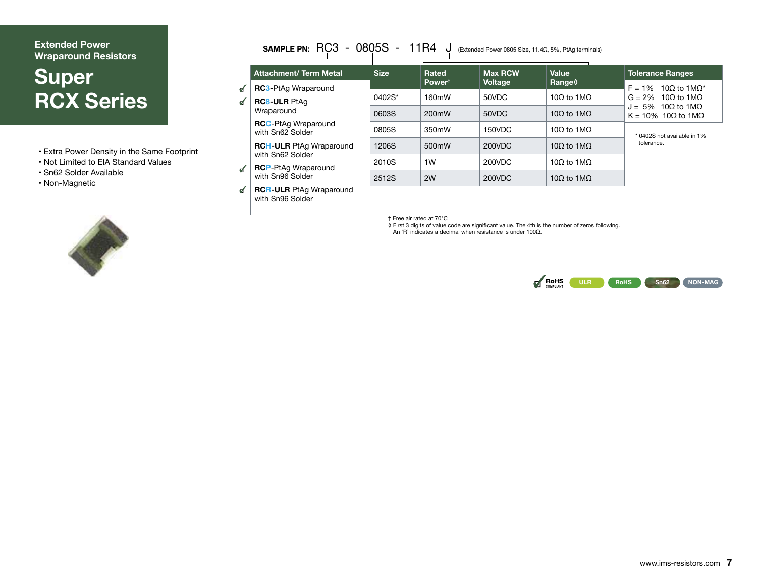#### **Extended Power Wraparound Resistors**

## **Super RCX Series**

- Extra Power Density in the Same Footprint
- Not Limited to EIA Standard Values
- Sn62 Solder Available
- Non-Magnetic



| RC <sub>3</sub><br><b>SAMPLE PN:</b>                | 0805S       | 11R4<br>J          |                | (Extended Power 0805 Size, 11.4 $\Omega$ , 5%, PtAq terminals) |                                                  |
|-----------------------------------------------------|-------------|--------------------|----------------|----------------------------------------------------------------|--------------------------------------------------|
| <b>Attachment/ Term Metal</b>                       | <b>Size</b> | Rated              | <b>Max RCW</b> | Value                                                          | <b>Tolerance Ranges</b>                          |
| ✔<br><b>RC3-PtAg Wraparound</b>                     |             | Power <sup>t</sup> | Voltage        | Range≬                                                         | $F = 1%$<br>10 $\Omega$ to 1M $\Omega^*$         |
| $\mathbf{r}$<br><b>RC8-ULR PtAg</b>                 | $0402S^*$   | 160mW              | 50VDC          | 10 $\Omega$ to 1M $\Omega$                                     | 10Ω to 1MΩ<br>$G = 2\%$                          |
| Wraparound                                          | 0603S       | 200mW              | 50VDC          | 10 $\Omega$ to 1M $\Omega$                                     | $J = 5\%$<br>100 to 1MQ<br>$K = 10\%$ 100 to 1MQ |
| <b>RCC-PtAg Wraparound</b><br>with Sn62 Solder      | 0805S       | 350mW              | 150VDC         | 10 $\Omega$ to 1M $\Omega$                                     | * 0402S not available in 1%                      |
| <b>RCH-ULR</b> PtAg Wraparound                      | 1206S       | 500mW              | 200VDC         | 10 $\Omega$ to 1M $\Omega$                                     | tolerance.                                       |
| with Sn62 Solder                                    | 2010S       | 1W                 | 200VDC         | 10 $\Omega$ to 1M $\Omega$                                     |                                                  |
| <b>RCP-PtAg Wraparound</b><br>ፈ<br>with Sn96 Solder | 2512S       | 2W                 | 200VDC         | 10 $\Omega$ to 1M $\Omega$                                     |                                                  |
| $\leq$<br><b>RCR-ULR</b> PtAg Wraparound            |             |                    |                |                                                                |                                                  |

† Free air rated at 70°C

with Sn96 Solder

◊ First 3 digits of value code are significant value. The 4th is the number of zeros following. An 'R' indicates a decimal when resistance is under 100Ω.

RoHS **ULR RoHS Sn62 NON-MAG**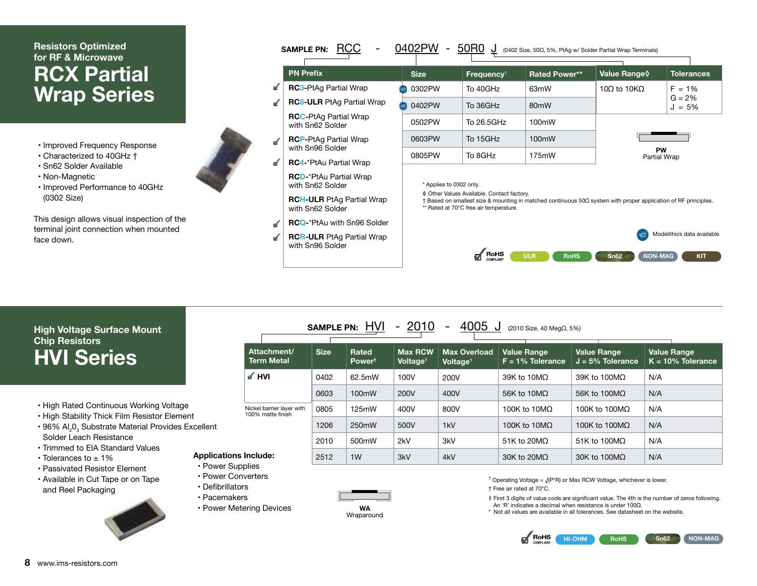## **Resistors Optimized for RF & Microwave RCX Partial Wrap Series**

- Improved Frequency Response
- Characterized to 40GHz †
- Sn62 Solder Available
- Non-Magnetic
- Improved Performance to 40GHz (0302 Size)

This design allows visual inspection of the terminal joint connection when mounted face down.

| RCC<br><b>SAMPLE PN:</b>                             | 0402PW                                                                             | 50 <sub>H</sub> O<br>J                                                                                              | (0402 Size, 50Ω, 5%, PtAq w/ Solder Partial Wrap Terminals) |                               |                                          |
|------------------------------------------------------|------------------------------------------------------------------------------------|---------------------------------------------------------------------------------------------------------------------|-------------------------------------------------------------|-------------------------------|------------------------------------------|
| <b>PN Prefix</b>                                     | <b>Size</b>                                                                        | Frequency <sup>†</sup>                                                                                              | <b>Rated Power**</b>                                        | Value Range 0                 | <b>Tolerances</b>                        |
| <b>RC3-PtAg Partial Wrap</b>                         | 0302PW                                                                             | To 40GHz                                                                                                            | 63 <sub>m</sub> W                                           | 10Ω to 10KΩ                   | $F = 1%$                                 |
| <b>RC8-ULR</b> PtAg Partial Wrap                     | 0402PW                                                                             | To 36GHz                                                                                                            | 80 <sub>m</sub> W                                           |                               | $G = 2\%$<br>$J = 5%$                    |
| <b>RCC-PtAg Partial Wrap</b><br>with Sn62 Solder     | 0502PW                                                                             | To 26.5GHz                                                                                                          | 100mW                                                       |                               |                                          |
| <b>RCP-PtAg Partial Wrap</b>                         | 0603PW                                                                             | To 15GHz                                                                                                            | 100mW                                                       |                               |                                          |
| with Sn96 Solder<br><b>RC4-*PtAu Partial Wrap</b>    | 0805PW                                                                             | To 8GHz                                                                                                             | 175mW                                                       | <b>PW</b><br>Partial Wrap     |                                          |
| <b>RCD-*PtAu Partial Wrap</b><br>with Sn62 Solder    | * Applies to 0302 only.                                                            |                                                                                                                     |                                                             |                               |                                          |
| <b>RCH-ULR</b> PtAg Partial Wrap<br>with Sn62 Solder | Other Values Available. Contact factory.<br>** Rated at 70°C free air temperature. | Based on smallest size & mounting in matched continuous $50\Omega$ system with proper application of RF principles. |                                                             |                               |                                          |
| <b>RCQ-*PtAu with Sn96 Solder</b>                    |                                                                                    |                                                                                                                     |                                                             |                               |                                          |
| <b>RCR-ULR</b> PtAg Partial Wrap<br>with Sn96 Solder |                                                                                    | <b>RoHS</b>                                                                                                         | <b>ULR</b><br><b>RoHS</b>                                   | <b>NON-MAG</b><br><b>Sn62</b> | Modelithics data available<br><b>KIT</b> |

#### **High Voltage Surface Mount Chip Resistors HVI Series**

- High Rated Continuous Working Voltage
- High Stability Thick Film Resistor Element
- $\cdot$  96% Al $_2$ 0 $_3$  Substrate Material Provides Excellent Solder Leach Resistance
- Trimmed to EIA Standard Values
- Tolerances to  $\pm$  1%
- Passivated Resistor Element
- Available in Cut Tape or on Tape and Reel Packaging



|                              |                                                | <b>VAINT LET IN <u>TIVI</u></b> |                             |                                        | ---<br>.<br>$12010$ JILG, 40 IVIGUSZ, 070   |                                    |                                           |                                            |  |  |
|------------------------------|------------------------------------------------|---------------------------------|-----------------------------|----------------------------------------|---------------------------------------------|------------------------------------|-------------------------------------------|--------------------------------------------|--|--|
|                              | Attachment/<br><b>Term Metal</b>               | <b>Size</b>                     | Rated<br>Power <sup>t</sup> | <b>Max RCW</b><br>Voltage <sup>1</sup> | <b>Max Overload</b><br>Voltage <sup>1</sup> | Value Range<br>$F = 1\%$ Tolerance | <b>Value Range</b><br>$J = 5\%$ Tolerance | <b>Value Range</b><br>$K = 10\%$ Tolerance |  |  |
|                              | ๔ HVI                                          | 0402                            | 62.5mW                      | 100V                                   | 200V                                        | $39K$ to $10M\Omega$               | $39K$ to $100M\Omega$                     | N/A                                        |  |  |
|                              |                                                | 0603                            | 100mW                       | 200V                                   | 400V                                        | 56K to $10M\Omega$                 | 56K to $100M\Omega$                       | N/A                                        |  |  |
|                              | Nickel barrier layer with<br>100% matte finish | 0805                            | 125mW                       | 400V                                   | 800V                                        | 100K to 10MΩ                       | 100K to 100M $\Omega$                     | N/A                                        |  |  |
| cellent                      |                                                |                                 | 250mW                       | 500V                                   | 1kV                                         | 100K to $10MΩ$                     | 100K to 100M $\Omega$                     | N/A                                        |  |  |
|                              |                                                | 2010                            | 500mW                       | 2kV                                    | 3kV                                         | 51K to $20M\Omega$                 | 51K to 100M $\Omega$                      | N/A                                        |  |  |
| <b>Applications Include:</b> |                                                | 2512                            | 1W                          | 3kV                                    | 4kV                                         | $30K$ to $20M\Omega$               | 30K to 100M $\Omega$                      | N/A                                        |  |  |

**SAMPLE PN:** HVI - 2010 - 4005 J(2010 Size, 40 MegΩ, 5%)

- Power Supplies
- Power Converters
- Defibrillators • Pacemakers
	-
	- Power Metering Devices

**WA** Wraparound

<sup>1</sup> Operating Voltage =  $\sqrt{(P^*R)}$  or Max RCW Voltage, whichever is lower. † Free air rated at 70°C.

- ◊ First 3 digits of value code are significant value. The 4th is the number of zeros following. An 'R' indicates a decimal when resistance is under 100Ω.
- \* Not all values are available in all tolerances. See datasheet on the website.

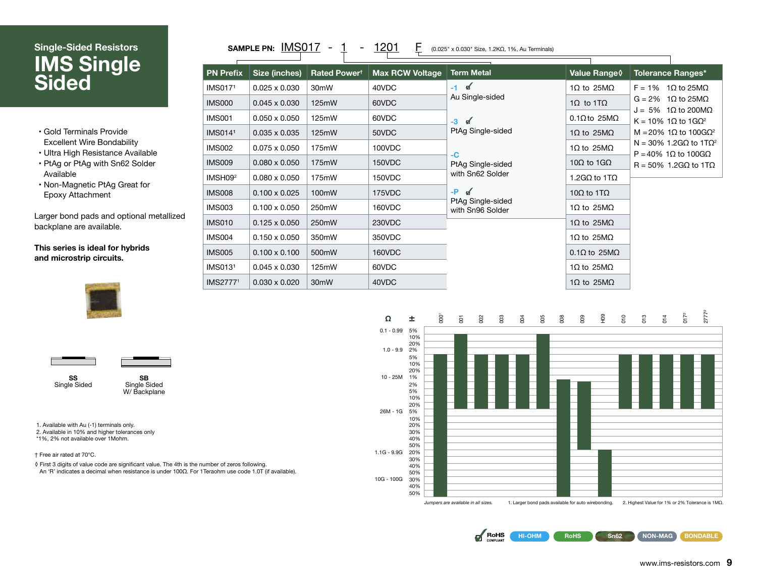## **Single-Sided Resistors IMS Single Sided**

- Gold Terminals Provide Excellent Wire Bondability
- Ultra High Resistance Available
- PtAg or PtAg with Sn62 Solder Available
- Non-Magnetic PtAg Great for Epoxy Attachment

Larger bond pads and optional metallized backplane are available.

**This series is ideal for hybrids and microstrip circuits.**



**SS** Single Sided



1. Available with Au (-1) terminals only. 2. Available in 10% and higher tolerances only

\*1%, 2% not available over 1Mohm.

#### † Free air rated at 70°C.

 $\overline{\phantom{0}}$ 

◊ First 3 digits of value code are significant value. The 4th is the number of zeros following. An 'R' indicates a decimal when resistance is under 100Ω. For 1Teraohm use code 1.0T (if available).

| <b>PN Prefix</b>    | <b>Size (inches)</b> | Rated Powert      | <b>Max RCW Voltage</b> | <b>Term Metal</b>                     | Value Range 0               | <b>Tolerance Ranges*</b>                                                                |
|---------------------|----------------------|-------------------|------------------------|---------------------------------------|-----------------------------|-----------------------------------------------------------------------------------------|
| <b>IMS0171</b>      | $0.025 \times 0.030$ | 30 <sub>m</sub> W | 40VDC                  | ✔<br>$-1$                             | 1 $\Omega$ to 25M $\Omega$  | $F = 1%$<br>1Ω to 25MΩ                                                                  |
| <b>IMS000</b>       | $0.045 \times 0.030$ | 125mW             | 60VDC                  | Au Single-sided                       | $1\Omega$ to $1T\Omega$     | $G = 2\%$<br>1Ω to 25MΩ                                                                 |
| <b>IMS001</b>       | $0.050 \times 0.050$ | 125mW             | 60VDC                  | $\mathcal{A}$<br>$-3$                 | $0.1\Omega$ to 25M $\Omega$ | $J = 5\%$ 1 $\Omega$ to 200M $\Omega$<br>K = 10% 1 $\Omega$ to 1G $\Omega$ <sup>2</sup> |
| <b>IMS0141</b>      | $0.035 \times 0.035$ | 125mW             | 50VDC                  | PtAg Single-sided                     | 1 $\Omega$ to 25M $\Omega$  | M = 20% 1 $\Omega$ to 100G $\Omega^2$                                                   |
| <b>IMS002</b>       | $0.075 \times 0.050$ | 175mW             | 100VDC                 | $-C$                                  | 1 $\Omega$ to 25M $\Omega$  | N = 30% 1.2GQ to 1TQ <sup>2</sup><br>$P = 40\%$ 1Ω to 100GΩ                             |
| <b>IMS009</b>       | $0.080 \times 0.050$ | 175mW             | 150VDC                 | PtAg Single-sided                     | 10Ω to 1GΩ                  | $R = 50\%$ 1.2GQ to 1TQ                                                                 |
| IMSH09 <sup>2</sup> | $0.080 \times 0.050$ | 175mW             | 150VDC                 | with Sn62 Solder                      | 1.2GΩ to 1TΩ                |                                                                                         |
| <b>IMS008</b>       | $0.100 \times 0.025$ | 100mW             | 175VDC                 | $\mathbf{a}$<br>-P                    | 10 $\Omega$ to 1T $\Omega$  |                                                                                         |
| <b>IMS003</b>       | $0.100 \times 0.050$ | 250mW             | 160VDC                 | PtAg Single-sided<br>with Sn96 Solder | 1 $\Omega$ to 25M $\Omega$  |                                                                                         |
| <b>IMS010</b>       | $0.125 \times 0.050$ | 250mW             | 230VDC                 |                                       | 1 $\Omega$ to 25M $\Omega$  |                                                                                         |
| <b>IMS004</b>       | $0.150 \times 0.050$ | 350mW             | 350VDC                 |                                       | 1 $\Omega$ to 25M $\Omega$  |                                                                                         |
| <b>IMS005</b>       | $0.100 \times 0.100$ | 500mW             | 160VDC                 |                                       | $0.1\Omega$ to 25M $\Omega$ |                                                                                         |
| IMS0131             | $0.045 \times 0.030$ | 125mW             | 60VDC                  |                                       | 1 $\Omega$ to 25M $\Omega$  |                                                                                         |
| <b>IMS27771</b>     | $0.030 \times 0.020$ | 30 <sub>m</sub> W | 40VDC                  |                                       | 1 $\Omega$ to 25M $\Omega$  |                                                                                         |

**SAMPLE PN:**  $IMSO17 - 1 - 1201$  F (0.025" x 0.030" Size, 1.2KΩ, 1%, Au Terminals)



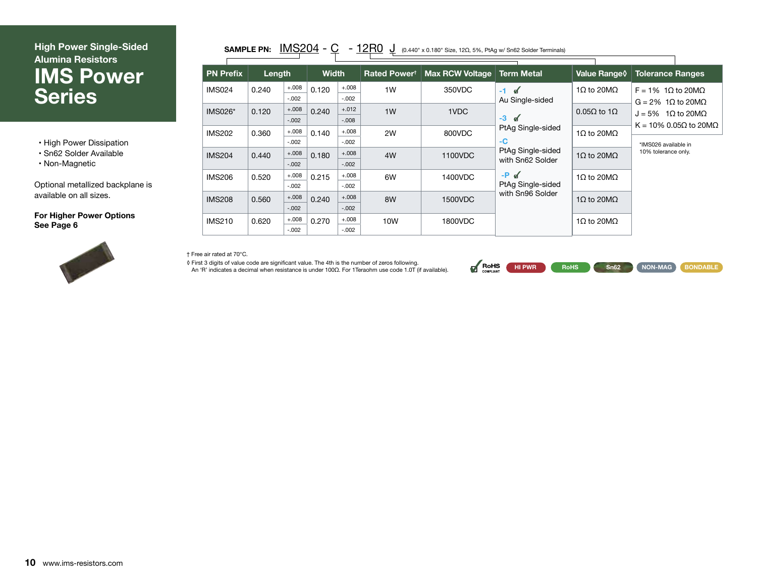## **High Power Single-Sided Alumina Resistors IMS Power Series**

- High Power Dissipation
- Sn62 Solder Available
- Non-Magnetic

Optional metallized backplane is available on all sizes.

**For Higher Power Options See Page 6**



## **SAMPLE PN:**  $\underline{\text{IMS204}}$  -  $\underline{\text{C}}$  -  $\underline{\text{12RO}}$   $\underline{\text{U}}$  (0.440" x 0.180" Size, 12 $\Omega$ , 5%, PtAg w/ Sn62 Solder Terminals)

| <b>PN Prefix</b> | Length |                    | <b>Width</b> |                     | Rated Powert | <b>Max RCW Voltage</b> | <b>Term Metal</b>                         | Value Range                | <b>Tolerance Ranges</b>                                       |
|------------------|--------|--------------------|--------------|---------------------|--------------|------------------------|-------------------------------------------|----------------------------|---------------------------------------------------------------|
| <b>IMS024</b>    | 0.240  | $+.008$<br>$-.002$ | 0.120        | $+.008$<br>$-.002$  | 1W           | 350VDC                 | $\overline{d}$<br>$-1$<br>Au Single-sided | 1Ω to 20MΩ                 | $F = 1\%$ 1 $\Omega$ to 20M $\Omega$<br>$G = 2\%$ 1.0 to 20MQ |
| <b>IMS026*</b>   | 0.120  | $+.008$<br>$-.002$ | 0.240        | $+.012$<br>$-0.008$ | 1W           | 1VDC                   | $\mathbf{d}$<br>$-3$                      | $0.05\Omega$ to 1 $\Omega$ | $J = 5\%$ 1 $\Omega$ to 20M $\Omega$                          |
| <b>IMS202</b>    | 0.360  | $+.008$<br>$-.002$ | 0.140        | $+.008$<br>$-.002$  | 2W           | 800VDC                 | PtAg Single-sided<br>$-C$                 | $1\Omega$ to 20M $\Omega$  | K = 10% 0.05Ω to 20MΩ<br>*IMS026 available in                 |
| <b>IMS204</b>    | 0.440  | $+.008$<br>$-.002$ | 0.180        | $+.008$<br>$-.002$  | 4W           | 1100VDC                | PtAg Single-sided<br>with Sn62 Solder     | $1Ω$ to $20MΩ$             | 10% tolerance only.                                           |
| <b>IMS206</b>    | 0.520  | $+.008$<br>$-.002$ | 0.215        | $+.008$<br>$-.002$  | 6W           | 1400VDC                | -P<br>$\mathcal{A}$<br>PtAg Single-sided  | $1\Omega$ to 20M $\Omega$  |                                                               |
| <b>IMS208</b>    | 0.560  | $+.008$<br>$-.002$ | 0.240        | $+.008$<br>$-.002$  | 8W           | 1500VDC                | with Sn96 Solder                          | 1Ω to 20MΩ                 |                                                               |
| <b>IMS210</b>    | 0.620  | $+.008$<br>$-.002$ | 0.270        | $+.008$<br>$-.002$  | 10W          | 1800VDC                |                                           | 1Ω to 20MΩ                 |                                                               |

#### † Free air rated at 70°C.

◊ First 3 digits of value code are significant value. The 4th is the number of zeros following. An 'R' indicates a decimal when resistance is under 100Ω. For 1Teraohm use code 1.0T (if available).

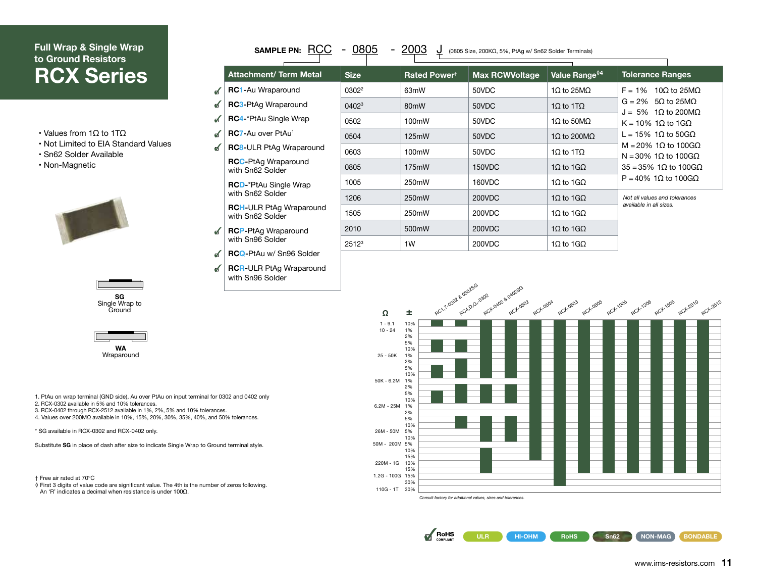## **Full Wrap & Single Wrap to Ground Resistors RCX Series**

✔

✔ ๔

**RCQ-**PtAu w/ Sn96 Solder **RCR-**ULR PtAg Wraparound

with Sn96 Solder

- Values from 1Ω to 1TΩ
- Not Limited to EIA Standard Values
- Sn62 Solder Available
- Non-Magnetic



| SG<br>Single Wrap to<br>Ground |  |
|--------------------------------|--|



- 1. PtAu on wrap terminal (GND side), Au over PtAu on input terminal for 0302 and 0402 only
- 2. RCX-0302 available in 5% and 10% tolerances.
- 3. RCX-0402 through RCX-2512 available in 1%, 2%, 5% and 10% tolerances.
- 4. Values over 200MΩ available in 10%, 15%, 20%, 30%, 35%, 40%, and 50% tolerances.
- \* SG available in RCX-0302 and RCX-0402 only.

Substitute **SG** in place of dash after size to indicate Single Wrap to Ground terminal style.

† Free air rated at 70°C

- ◊ First 3 digits of value code are significant value. The 4th is the number of zeros following.
- An 'R' indicates a decimal when resistance is under 100Ω.

| <b>Attachment/ Term Metal</b>                      | <b>Size</b> | Rated Powert      | <b>Max RCWVoltage</b> | Value Range <sup>04</sup>      | <b>Tolerance Ranges</b>                                       |
|----------------------------------------------------|-------------|-------------------|-----------------------|--------------------------------|---------------------------------------------------------------|
| <b>RC1-Au Wraparound</b>                           | 03022       | 63mW              | 50VDC                 | $1\Omega$ to 25M $\Omega$      | 100 to 25MQ<br>$F = 1\%$                                      |
| <b>RC3-PtAg Wraparound</b>                         | 04023       | 80 <sub>m</sub> W | 50VDC                 | $1Ω$ to $1TΩ$                  | 5Ω to 25MΩ<br>$G = 2\%$                                       |
| <b>RC4-*PtAu Single Wrap</b>                       | 0502        | 100mW             | 50VDC                 | 1Ω to 50MΩ                     | $J = 5\%$ 1 $\Omega$ to 200M $\Omega$<br>$K = 10\%$ 10 to 1GQ |
| <b>RC7-Au over PtAu<sup>1</sup></b>                | 0504        | 125mW             | 50VDC<br>1Ω to 200MΩ  |                                | L = 15% 1Ω to 50GΩ                                            |
| <b>RC8-ULR PtAg Wraparound</b>                     | 0603        | 100mW             | 50VDC                 | $1Ω$ to $1TΩ$                  | $M = 20\%$ 1Ω to 100GΩ<br>$N = 30\%$ 1.0 to 100GQ             |
| <b>RCC-PtAg Wraparound</b><br>with Sn62 Solder     | 0805        | 175mW             | 150VDC                | $1\Omega$ to $1\text{G}\Omega$ | $35 = 35\%$ 1 Q to 100 G Q                                    |
| <b>RCD-*PtAu Single Wrap</b>                       | 1005        | 250mW             | 160VDC                | $1\Omega$ to $1\Omega$         | $P = 40\%$ 1Ω to 100GΩ                                        |
| with Sn62 Solder                                   | 1206        | 250mW             | 200VDC                | $1Ω$ to $1GΩ$                  | Not all values and tolerances                                 |
| <b>RCH-ULR PtAg Wraparound</b><br>with Sn62 Solder | 1505        | 250mW             | 200VDC                | $1Ω$ to $1GΩ$                  | available in all sizes.                                       |
| <b>RCP-PtAg Wraparound</b>                         | 2010        | 500mW             | 200VDC                | $1Ω$ to $1GΩ$                  |                                                               |
| with Sn96 Solder                                   | $2512^3$    | 1W                | 200VDC                | $1Ω$ to $1GΩ$                  |                                                               |

SAMPLE PN: RCC - 0805 - 2003 J (0805 Size, 200KΩ, 5%, PtAg w/ Sn62 Solder Terminals)



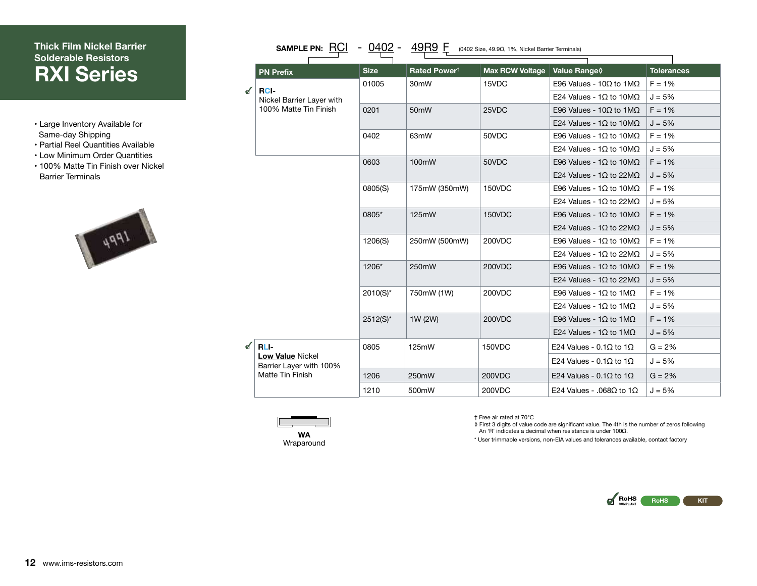### **Thick Film Nickel Barrier Solderable Resistors RXI Series**

- Large Inventory Available for Same-day Shipping
- Partial Reel Quantities Available
- Low Minimum Order Quantities
- 100% Matte Tin Finish over Nickel Barrier Terminals



|                          | - 0402 -<br><u>49R9 F</u><br>SAMPLE PN: RCI<br>(0402 Size, 49.9Ω, 1%, Nickel Barrier Terminals) |             |                          |                        |                                             |                   |  |  |  |
|--------------------------|-------------------------------------------------------------------------------------------------|-------------|--------------------------|------------------------|---------------------------------------------|-------------------|--|--|--|
|                          |                                                                                                 |             |                          |                        |                                             |                   |  |  |  |
|                          | <b>PN Prefix</b>                                                                                | <b>Size</b> | Rated Power <sup>t</sup> | <b>Max RCW Voltage</b> | Value Range 0                               | <b>Tolerances</b> |  |  |  |
| $\overline{\mathcal{A}}$ | <b>RCI-</b>                                                                                     | 01005       | 30 <sub>m</sub> W        | 15VDC                  | E96 Values - 10Ω to 1MΩ                     | $F = 1%$          |  |  |  |
|                          | Nickel Barrier Layer with                                                                       |             |                          |                        | E24 Values - 1Ω to 10MΩ                     | $J = 5%$          |  |  |  |
|                          | 100% Matte Tin Finish                                                                           | 0201        | 50 <sub>m</sub> W        | 25VDC                  | E96 Values - 10Ω to 1MΩ                     | $F = 1%$          |  |  |  |
|                          |                                                                                                 |             |                          |                        | E24 Values - 1Ω to 10MΩ                     | $J = 5%$          |  |  |  |
|                          |                                                                                                 | 0402        | 63mW                     | 50VDC                  | E96 Values - $1\Omega$ to $10M\Omega$       | $F = 1%$          |  |  |  |
|                          |                                                                                                 |             |                          |                        | E24 Values - 1Ω to 10MΩ                     | $J = 5%$          |  |  |  |
|                          |                                                                                                 | 0603        | 100mW                    | 50VDC                  | E96 Values - 1Ω to 10MΩ                     | $F = 1%$          |  |  |  |
|                          |                                                                                                 |             |                          |                        | E24 Values - 1Ω to 22MΩ                     | $J = 5%$          |  |  |  |
|                          |                                                                                                 | 0805(S)     | 175mW (350mW)            | 150VDC                 | E96 Values - 1Ω to 10MΩ                     | $F = 1%$          |  |  |  |
|                          |                                                                                                 |             |                          |                        | E24 Values - $1\Omega$ to 22M $\Omega$      | $J = 5%$          |  |  |  |
|                          |                                                                                                 | 0805*       | 125mW                    | 150VDC                 | E96 Values - 1Ω to 10MΩ                     | $F = 1%$          |  |  |  |
|                          |                                                                                                 |             |                          |                        | E24 Values - 1Ω to 22MΩ                     | $J = 5%$          |  |  |  |
|                          |                                                                                                 | 1206(S)     | 250mW (500mW)            | 200VDC                 | E96 Values - 1Ω to 10MΩ                     | $F = 1%$          |  |  |  |
|                          |                                                                                                 |             |                          |                        | E24 Values - 1Ω to 22MΩ                     | $J = 5%$          |  |  |  |
|                          |                                                                                                 | 1206*       | 250mW                    | 200VDC                 | E96 Values - 1Ω to 10MΩ                     | $F = 1%$          |  |  |  |
|                          |                                                                                                 |             |                          |                        | E24 Values - $1\Omega$ to 22M $\Omega$      | $J = 5%$          |  |  |  |
|                          |                                                                                                 | $2010(S)^*$ | 750mW (1W)               | 200VDC                 | E96 Values - 1Ω to 1MΩ                      | $F = 1%$          |  |  |  |
|                          |                                                                                                 |             |                          |                        | E24 Values - $1\Omega$ to $1\text{M}\Omega$ | $J = 5%$          |  |  |  |
|                          |                                                                                                 | $2512(S)^*$ | 1W (2W)                  | 200VDC                 | E96 Values - 1Ω to 1MΩ                      | $F = 1%$          |  |  |  |
|                          |                                                                                                 |             |                          |                        | E24 Values - 1Ω to 1MΩ                      | $J = 5%$          |  |  |  |
| ๔                        | <b>RLI-</b>                                                                                     | 0805        | 125mW                    | 150VDC                 | E24 Values - 0.1Ω to 1Ω                     | $G = 2%$          |  |  |  |
|                          | <b>Low Value Nickel</b><br>Barrier Layer with 100%                                              |             |                          |                        | E24 Values - 0.1Ω to 1Ω                     | $J = 5%$          |  |  |  |
|                          | Matte Tin Finish                                                                                | 1206        | 250mW                    | <b>200VDC</b>          | E24 Values - $0.1\Omega$ to $1\Omega$       | $G = 2%$          |  |  |  |
|                          |                                                                                                 | 1210        | 500mW                    | 200VDC                 | E24 Values - .068Ω to 1Ω                    | $J = 5%$          |  |  |  |



† Free air rated at 70°C

◊ First 3 digits of value code are significant value. The 4th is the number of zeros following An 'R' indicates a decimal when resistance is under 100Ω.

\* User trimmable versions, non-EIA values and tolerances available, contact factory

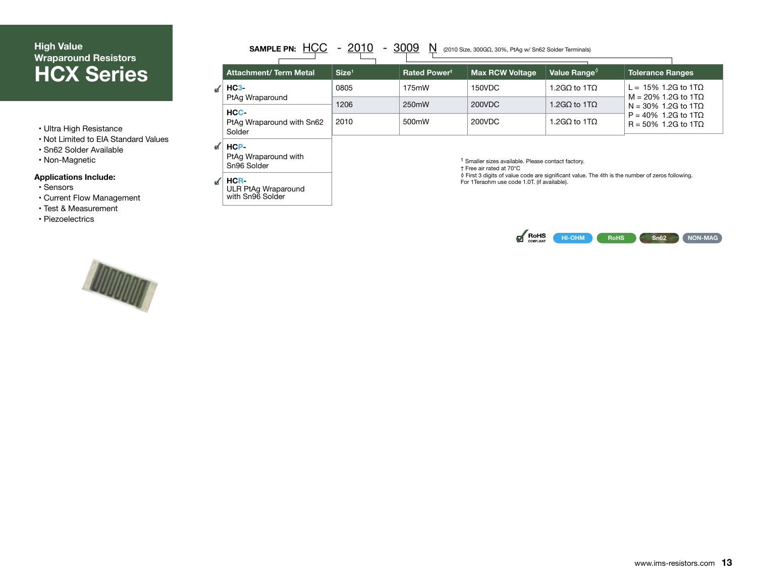## **High Value Wraparound Resistors HCX Series**

- Ultra High Resistance
- Not Limited to EIA Standard Values
- Sn62 Solder Available
- Non-Magnetic

#### **Applications Include:**

- Sensors
- Current Flow Management
- Test & Measurement
- Piezoelectrics

| SAMPLE PN: $HCC - 2010$             |                   | $-3009$<br>N | (2010 Size, 300GΩ, 30%, PtAg w/ Sn62 Solder Terminals) |                           |                                                  |
|-------------------------------------|-------------------|--------------|--------------------------------------------------------|---------------------------|--------------------------------------------------|
| <b>Attachment/ Term Metal</b>       | Size <sup>1</sup> | Rated Powert | <b>Max RCW Voltage</b>                                 | Value Range $\sqrt[6]{ }$ | <b>Tolerance Ranges</b>                          |
| $HC3-$<br>PtAg Wraparound           | 0805<br>175mW     |              | 150VDC                                                 | 1.2GΩ to 1TΩ              | L = 15% 1.2G to 1TQ<br>$M = 20\%$ 1.2G to 1TQ    |
| HCC-                                | 1206              | 250mW        | 200VDC                                                 | 1.2GQ to 1TQ              | $N = 30\%$ 1.2G to 1TQ                           |
| PtAg Wraparound with Sn62<br>Solder | 2010              | 500mW        | 200VDC                                                 | 1.2GΩ to 1TΩ              | $P = 40\%$ 1.2G to 1TQ<br>$R = 50\%$ 1.2G to 1TQ |

**HCP-**

PtAg Wraparound with Sn96 Solder

**HCR-**

ULR PtAg Wraparound with Sn96 Solder

1 Smaller sizes available. Please contact factory.

† Free air rated at 70°C<br>◊ First 3 digits of value code are significant value. The 4th is the number of zeros following. For 1Teraohm use code 1.0T. (if available).



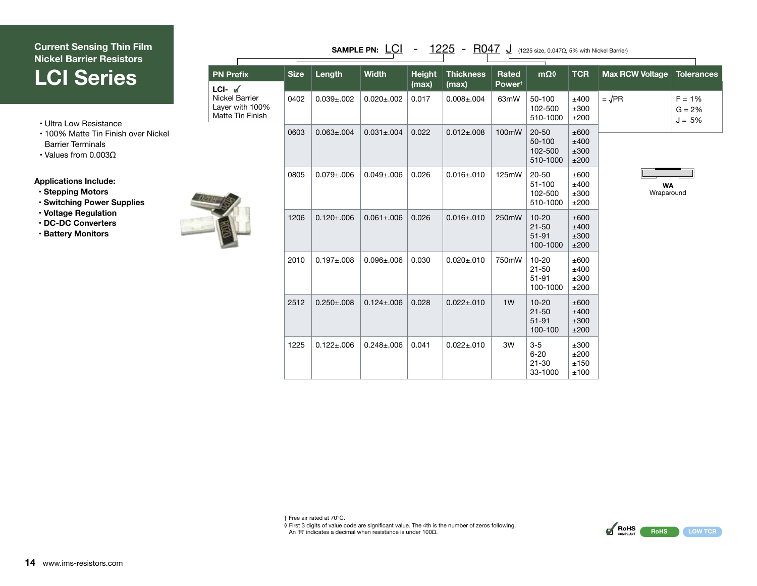## **Current Sensing Thin Film Nickel Barrier Resistors LCI Series**

- Ultra Low Resistance
- 100% Matte Tin Finish over Nickel Barrier Terminals
- Values from 0.003Ω

**Applications Include:**

- **Stepping Motors**
- **Switching Power Supplies**
- **Voltage Regulation**
- **DC-DC Converters**
- **Battery Monitors**



| <b>PN Prefix</b>                                                                    | <b>Size</b> | Length            | <b>Width</b>      | <b>Height</b><br>(max) | <b>Thickness</b><br>(max) | Rated<br>Power <sup>t</sup> | $m\Omega$                                       | <b>TCR</b>                   | <b>Max RCW Voltage</b>  | <b>Tolerances</b>                |
|-------------------------------------------------------------------------------------|-------------|-------------------|-------------------|------------------------|---------------------------|-----------------------------|-------------------------------------------------|------------------------------|-------------------------|----------------------------------|
| $LCI - \mathscr{A}$<br><b>Nickel Barrier</b><br>Layer with 100%<br>Matte Tin Finish | 0402        | $0.039 + 0.002$   | $0.020 \pm 0.002$ | 0.017                  | $0.008 + 0.004$           | 63mW                        | 50-100<br>102-500<br>510-1000                   | ±400<br>±300<br>±200         | $=\sqrt{PR}$            | $F = 1%$<br>$G = 2%$<br>$J = 5%$ |
|                                                                                     | 0603        | $0.063 \pm 0.004$ | $0.031 \pm 0.004$ | 0.022                  | $0.012 \pm 0.008$         | 100mW                       | $20 - 50$<br>50-100<br>102-500<br>510-1000      | ±600<br>±400<br>±300<br>±200 |                         |                                  |
|                                                                                     | 0805        | $0.079 + 0.006$   | $0.049 + 0.006$   | 0.026                  | $0.016 + .010$            | 125mW                       | $20 - 50$<br>$51 - 100$<br>102-500<br>510-1000  | ±600<br>±400<br>±300<br>±200 | <b>WA</b><br>Wraparound |                                  |
|                                                                                     | 1206        | $0.120 \pm 0.006$ | $0.061 \pm 0.006$ | 0.026                  | $0.016 \pm 0.010$         | 250mW                       | $10 - 20$<br>$21 - 50$<br>$51 - 91$<br>100-1000 | ±600<br>±400<br>±300<br>±200 |                         |                                  |
|                                                                                     | 2010        | $0.197 + 0.008$   | $0.096 + 0.006$   | 0.030                  | $0.020 \pm 0.010$         | 750mW                       | $10 - 20$<br>$21 - 50$<br>$51 - 91$<br>100-1000 | ±600<br>±400<br>±300<br>±200 |                         |                                  |
|                                                                                     | 2512        | $0.250 \pm 0.008$ | $0.124 \pm 0.006$ | 0.028                  | $0.022 \pm 0.010$         | 1W                          | $10 - 20$<br>$21 - 50$<br>$51 - 91$<br>100-100  | ±600<br>±400<br>±300<br>±200 |                         |                                  |
|                                                                                     | 1225        | $0.122 \pm 0.006$ | $0.248 \pm 0.006$ | 0.041                  | $0.022 \pm 0.010$         | 3W                          | $3-5$<br>$6 - 20$<br>$21 - 30$<br>33-1000       | ±300<br>±200<br>±150<br>±100 |                         |                                  |

SAMPLE PN: <u>LCI</u> - 1225 - R047 J (1225 size, 0.047Ω, 5% with Nickel Barrier)

† Free air rated at 70°C. ◊ First 3 digits of value code are significant value. The 4th is the number of zeros following. An 'R' indicates a decimal when resistance is under 100Ω.

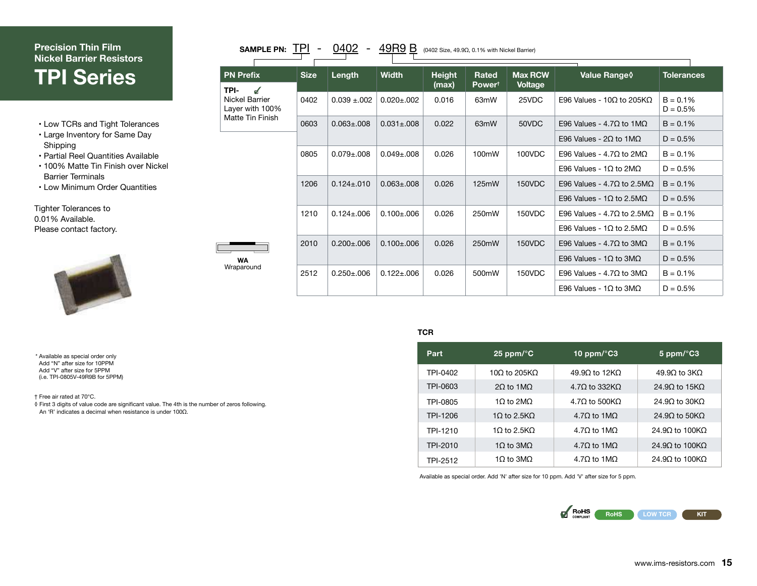## **Precision Thin Film Nickel Barrier Resistors TPI Series**

- Low TCRs and Tight Tolerances
- Large Inventory for Same Day Shipping
- Partial Reel Quantities Available
- 100% Matte Tin Finish over Nickel Barrier Terminals
- Low Minimum Order Quantities

Tighter Tolerances to 0.01% Available. Please contact factory.

\* Available as special order only Add "N" after size for 10PPM Add "V" after size for 5PPM (i.e. TPI-0805V-49R9B for 5PPM)

† Free air rated at 70°C.



◊ First 3 digits of value code are significant value. The 4th is the number of zeros following.

An 'R' indicates a decimal when resistance is under 100Ω.

| <b>PN Prefix</b>                  | <b>Size</b>                                                             | Length            | <b>Width</b>                           | <b>Height</b><br>(max) | Rated<br>Power <sup>t</sup> | <b>Max RCW</b>                            | Value Range 0                                 | <b>Tolerances</b>        |
|-----------------------------------|-------------------------------------------------------------------------|-------------------|----------------------------------------|------------------------|-----------------------------|-------------------------------------------|-----------------------------------------------|--------------------------|
| TPI-<br>✔                         |                                                                         |                   |                                        |                        |                             | <b>Voltage</b>                            |                                               |                          |
| Nickel Barrier<br>Layer with 100% | 0402                                                                    | $0.039 \pm 0.002$ | $0.020 \pm 0.002$                      | 0.016                  | 63 <sub>m</sub> W           | 25VDC                                     | E96 Values - 10 $\Omega$ to 205K $\Omega$     | $B = 0.1%$<br>$D = 0.5%$ |
| Matte Tin Finish                  | 0603                                                                    | $0.063 \pm 0.008$ | $0.031 \pm 0.008$                      | 0.022                  | 63 <sub>m</sub> W           | 50VDC                                     | E96 Values - $4.7\Omega$ to $1\text{M}\Omega$ | $B = 0.1%$               |
|                                   |                                                                         |                   | E96 Values - $2\Omega$ to 1M $\Omega$  | $D = 0.5%$             |                             |                                           |                                               |                          |
|                                   | 0.026<br>0805<br>$0.079 + 0.08$<br>$0.049 \pm 0.008$<br>100mW<br>100VDC |                   | E96 Values - $4.7\Omega$ to $2M\Omega$ | $B = 0.1%$             |                             |                                           |                                               |                          |
|                                   |                                                                         |                   |                                        |                        |                             |                                           | E96 Values - $1\Omega$ to $2M\Omega$          | $D = 0.5%$               |
|                                   | 1206<br>$0.124 \pm 0.010$                                               | $0.063 \pm 0.008$ | 0.026                                  | 125mW                  | 150VDC                      | E96 Values - $4.7\Omega$ to 2.5M $\Omega$ | $B = 0.1%$                                    |                          |
|                                   |                                                                         |                   |                                        |                        |                             |                                           | E96 Values - $1\Omega$ to 2.5M $\Omega$       | $D = 0.5%$               |
|                                   | 1210                                                                    | $0.124 \pm 0.06$  | $0.100 + 0.006$                        | 0.026                  | 250mW                       | 150VDC                                    | E96 Values - $4.7\Omega$ to 2.5M $\Omega$     | $B = 0.1%$               |
|                                   |                                                                         |                   |                                        |                        |                             |                                           | E96 Values - $1\Omega$ to 2.5M $\Omega$       | $D = 0.5%$               |
|                                   | 2010                                                                    | $0.200 + 0.006$   | $0.100 \pm 0.006$                      | 0.026                  | 250mW                       | 150VDC                                    | E96 Values - $4.7\Omega$ to $3M\Omega$        | $B = 0.1%$               |
| <b>WA</b>                         |                                                                         |                   |                                        |                        |                             |                                           | E96 Values - $1\Omega$ to $3M\Omega$          | $D = 0.5%$               |
| Wraparound                        | 2512                                                                    | $0.250 \pm 0.006$ | $0.122 \pm 0.006$                      | 0.026                  | 500mW                       | 150VDC                                    | E96 Values - $4.7\Omega$ to $3M\Omega$        | $B = 0.1%$               |
|                                   |                                                                         |                   |                                        |                        |                             |                                           | E96 Values - $1\Omega$ to $3M\Omega$          | $D = 0.5%$               |

#### **TCR**

| Part     | 25 ppm/ $\degree$ C            | 10 ppm/ $\textdegree$ C3     | $5$ ppm/ $^{\circ}$ C3 |
|----------|--------------------------------|------------------------------|------------------------|
| TPI-0402 | 10 $\Omega$ to 205K $\Omega$   | $49.9\Omega$ to 12K $\Omega$ | $49.9Q$ to $3KQ$       |
| TPI-0603 | 20 to 1MO                      | $4.7\Omega to 332K\Omega$    | 24.90 to $15K0$        |
| TPI-0805 | $1\Omega$ to $2\text{M}\Omega$ | $4.7\Omega to 500K\Omega$    | 24.90 to 30KO          |
| TPI-1206 | 10 to 2.5KQ                    | $4.7\Omega$ to 1M $\Omega$   | 24.90 to 50 KQ         |
| TPI-1210 | 10 to 2.5KQ                    | $4.7\Omega$ to 1M $\Omega$   | 24.90 to 100KO         |
| TPI-2010 | $1\Omega$ to $3\text{M}\Omega$ | $4.7\Omega$ to 1M $\Omega$   | 24.90 to 100 KQ        |
| TPI-2512 | $1\Omega$ to $3\text{M}\Omega$ | $4.7\Omega$ to 1M $\Omega$   | 24.9Ω to 100KΩ         |

Available as special order. Add 'N' after size for 10 ppm. Add 'V' after size for 5 ppm.



**SAMPLE PN:**  $\overline{TPI}$  -  $\overline{0402}$  -  $\overline{49R9}$   $\overline{B}$  (0402 Size, 49.9Ω, 0.1% with Nickel Barrier)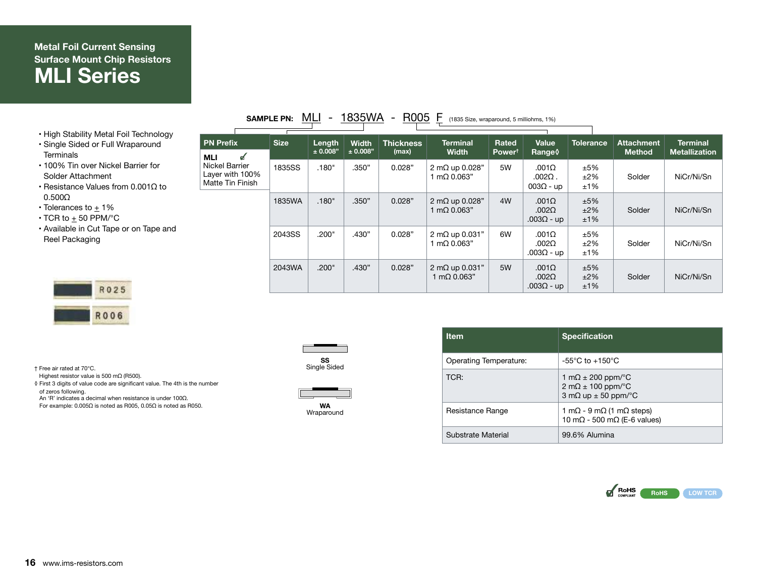## **Metal Foil Current Sensing Surface Mount Chip Resistors MLI Series**

• High Stability Metal Foil Technology

- Single Sided or Full Wraparound **Terminals**
- 100% Tin over Nickel Barrier for Solder Attachment
- Resistance Values from 0.001Ω to 0.500Ω
- Tolerances to  $\pm$  1%
- $\cdot$  TCR to  $\pm$  50 PPM/°C
- Available in Cut Tape or on Tape and Reel Packaging

| 025  |
|------|
| R006 |

† Free air rated at 70°C.

- Highest resistor value is 500 mΩ (R500). ◊ First 3 digits of value code are significant value. The 4th is the number
- of zeros following.
- An 'R' indicates a decimal when resistance is under 100Ω.

For example: 0.005Ω is noted as R005, 0.05Ω is noted as R050.

|                  | <b>SAMPLE PN:</b> | MLI<br>$\sim$      | 1835WA                       | R005<br>$\equiv$          | (1835 Size, wraparound, 5 milliohms, 1%) |                        |                       |           |                        |
|------------------|-------------------|--------------------|------------------------------|---------------------------|------------------------------------------|------------------------|-----------------------|-----------|------------------------|
| <b>PN Prefix</b> | <b>Size</b>       | Lenath<br>$+0.008$ | Width<br>$(1 + 0.008)^{1/2}$ | <b>Thickness</b><br>lmay) | Terminal<br><b>Width</b>                 | Rated<br><b>Dowart</b> | Value<br><b>Dange</b> | Tolerance | ∣ Attachment<br>Mathod |

| FN FIEIL                                              | oize          | Lengur   | wuun     | THUMICSS | rerminar                                      | nateu              |                                                    | value                |               | TUIBLAHUB            | Allachneill | тепппаг |
|-------------------------------------------------------|---------------|----------|----------|----------|-----------------------------------------------|--------------------|----------------------------------------------------|----------------------|---------------|----------------------|-------------|---------|
| $\mathbf{d}$<br><b>MLI</b>                            |               | ± 0.008" | ± 0.008" | (max)    | <b>Width</b>                                  | Power <sup>t</sup> | 'Range≬,                                           |                      | <b>Method</b> | <b>Metallization</b> |             |         |
| Nickel Barrier<br>Layer with 100%<br>Matte Tin Finish | <b>1835SS</b> | .180"    | .350"    | 0.028"   | 2 m $\Omega$ up 0.028"<br>1 m $\Omega$ 0.063" | 5W                 | $.001\Omega$<br>$.002\Omega$ .<br>$003\Omega$ - up | ±5%<br>$±2\%$<br>±1% | Solder        | NiCr/Ni/Sn           |             |         |
|                                                       | 1835WA        | .180"    | .350"    | 0.028"   | 2 m $\Omega$ up 0.028"<br>1 m $\Omega$ 0.063" | 4W                 | $.001\Omega$<br>$.002\Omega$<br>.003 $\Omega$ - up | ±5%<br>$±2\%$<br>±1% | Solder        | NiCr/Ni/Sn           |             |         |
|                                                       | 2043SS        | .200"    | .430"    | 0.028"   | 2 m $\Omega$ up 0.031"<br>1 m $\Omega$ 0.063" | 6W                 | $.001\Omega$<br>$.002\Omega$<br>.003 $\Omega$ - up | ±5%<br>$±2\%$<br>±1% | Solder        | NiCr/Ni/Sn           |             |         |
|                                                       | 2043WA        | .200"    | .430"    | 0.028"   | 2 m $\Omega$ up 0.031"<br>1 m $\Omega$ 0.063" | 5W                 | $.001\Omega$<br>$.002\Omega$<br>.003 $\Omega$ - up | ±5%<br>$±2\%$<br>±1% | Solder        | NiCr/Ni/Sn           |             |         |



| W٨ |  |
|----|--|

**WA** Wraparound

| <b>Item</b>            | <b>Specification</b>                                                                                          |
|------------------------|---------------------------------------------------------------------------------------------------------------|
| Operating Temperature: | -55 $^{\circ}$ C to +150 $^{\circ}$ C                                                                         |
| TCR:                   | 1 m $\Omega$ ± 200 ppm/ $\degree$ C<br>2 m $\Omega$ ± 100 ppm/ $\degree$ C<br>3 m $\Omega$ up $\pm$ 50 ppm/°C |
| Resistance Range       | 1 m $\Omega$ - 9 m $\Omega$ (1 m $\Omega$ steps)<br>10 m $\Omega$ - 500 m $\Omega$ (E-6 values)               |
| Substrate Material     | 99.6% Alumina                                                                                                 |



**Terminal**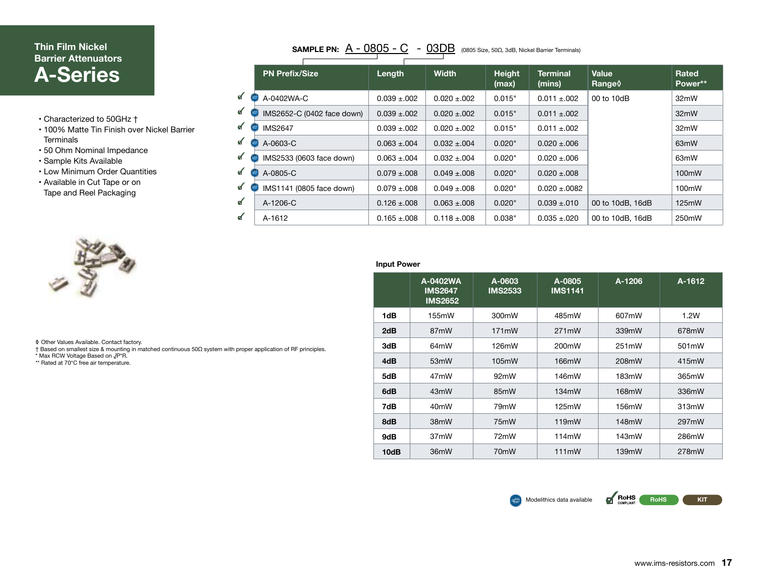## **Thin Film Nickel Barrier Attenuators A-Series**

- Characterized to 50GHz †
- 100% Matte Tin Finish over Nickel Barrier **Terminals**
- 50 Ohm Nominal Impedance
- Sample Kits Available
- Low Minimum Order Quantities
- Available in Cut Tape or on Tape and Reel Packaging



|  | <b>V</b> Other Values Available. Contact factory. |  |  |
|--|---------------------------------------------------|--|--|
|  | 4 Deced an employ since measurable in more        |  |  |

- **◊** Other Values Available. Contact factory. † Based on smallest size & mounting in matched continuous 50Ω system with proper application of RF principles.
- \* Max RCW Voltage Based on √P\*R.
- \*\* Rated at 70°C free air temperature.

## **SAMPLE PN:**  $\underbrace{A - 0805 - C}$  -  $\underbrace{03DB}$  (0805 Size, 50Ω, 3dB, Nickel Barrier Terminals)

|    | <b>PN Prefix/Size</b>      | Length            | <b>Width</b>      | <b>Height</b><br>(max) | <b>Terminal</b><br>(mins) | Value<br>Range≬  | Rated<br>Power** |
|----|----------------------------|-------------------|-------------------|------------------------|---------------------------|------------------|------------------|
| ✓€ | A-0402WA-C                 | $0.039 \pm 0.002$ | $0.020 \pm 0.002$ | 0.015"                 | $0.011 \pm 0.002$         | 00 to 10dB       | 32mW             |
| ๔  | IMS2652-C (0402 face down) | $0.039 \pm 0.002$ | $0.020 \pm 0.002$ | 0.015"                 | $0.011 \pm 0.002$         |                  | 32mW             |
| ๔  | <b>IMS2647</b>             | $0.039 \pm 0.002$ | $0.020 \pm 0.002$ | 0.015"                 | $0.011 \pm 0.002$         |                  | 32mW             |
| ๔  | A-0603-C                   | $0.063 \pm 0.004$ | $0.032 \pm 0.004$ | 0.020"                 | $0.020 \pm 0.006$         |                  | 63mW             |
| ๔  | IMS2533 (0603 face down)   | $0.063 \pm 0.004$ | $0.032 \pm 0.004$ | 0.020"                 | $0.020 \pm 0.006$         |                  | 63mW             |
| ๔  | A-0805-C                   | $0.079 \pm 0.008$ | $0.049 \pm 0.008$ | 0.020"                 | $0.020 \pm 0.008$         |                  | 100mW            |
| ๔  | IMS1141 (0805 face down)   | $0.079 \pm 0.008$ | $0.049 \pm 0.008$ | 0.020"                 | $0.020 \pm 0.0082$        |                  | 100mW            |
| ๔  | A-1206-C                   | $0.126 \pm 0.008$ | $0.063 \pm 0.08$  | 0.020"                 | $0.039 \pm 0.010$         | 00 to 10dB, 16dB | 125mW            |
| ɗ  | A-1612                     | $0.165 \pm 0.008$ | $0.118 \pm 0.008$ | 0.038"                 | $0.035 \pm 0.020$         | 00 to 10dB, 16dB | 250mW            |

#### **Input Power**

|      | A-0402WA<br><b>IMS2647</b><br><b>IMS2652</b> | A-0603<br><b>IMS2533</b> | A-0805<br><b>IMS1141</b> | $A-1206$ | A-1612 |
|------|----------------------------------------------|--------------------------|--------------------------|----------|--------|
| 1dB  | 155mW                                        | 300mW                    | 485mW                    | 607mW    | 1.2W   |
| 2dB  | 87mW                                         | 171mW                    | 271mW                    | 339mW    | 678mW  |
| 3dB  | 64mW                                         | 126mW                    | 200mW                    | 251mW    | 501mW  |
| 4dB  | 53 <sub>m</sub> W                            | 105mW                    | 166mW                    | 208mW    | 415mW  |
| 5dB  | 47mW                                         | 92mW                     | 146mW                    | 183mW    | 365mW  |
| 6dB  | 43mW                                         | 85mW                     | 134mW                    | 168mW    | 336mW  |
| 7dB  | 40 <sub>m</sub> W                            | 79mW                     | 125mW                    | 156mW    | 313mW  |
| 8dB  | 38mW                                         | 75mW                     | 119mW                    | 148mW    | 297mW  |
| 9dB  | 37 <sub>m</sub> W                            | 72mW                     | 114mW                    | 143mW    | 286mW  |
| 10dB | 36mW                                         | 70 <sub>m</sub> W        | 111mW                    | 139mW    | 278mW  |

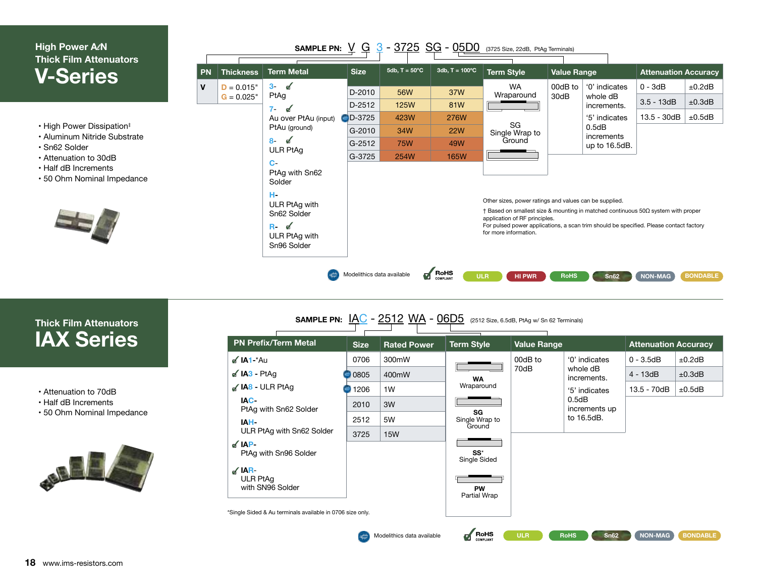### **High Power A***l***N Thick Film Attenuators V-Se**

| <u>High Power AcN</u><br><b>Thick Film Attenuators</b>                | SAMPLE PN: V G 3 - 3725 SG - 05D0<br>(3725 Size, 22dB, PtAg Terminals) |                              |                                                                                                 |             |                        |                         |                                                                                                                                                                                                                                                                                                     |                    |                           |                             |                  |
|-----------------------------------------------------------------------|------------------------------------------------------------------------|------------------------------|-------------------------------------------------------------------------------------------------|-------------|------------------------|-------------------------|-----------------------------------------------------------------------------------------------------------------------------------------------------------------------------------------------------------------------------------------------------------------------------------------------------|--------------------|---------------------------|-----------------------------|------------------|
| V-Series                                                              | <b>PN</b>                                                              | <b>Thickness</b>             | <b>Term Metal</b>                                                                               | <b>Size</b> | 5db, $T = 50^{\circ}C$ | $3db, T = 100^{\circ}C$ | <b>Term Style</b>                                                                                                                                                                                                                                                                                   | <b>Value Range</b> |                           | <b>Attenuation Accuracy</b> |                  |
|                                                                       | v                                                                      | $D = 0.015"$<br>$G = 0.025"$ | $3 -$<br>$\mathcal{A}$<br>PtAg                                                                  | D-2010      | <b>56W</b>             | 37W                     | <b>WA</b><br>Wraparound                                                                                                                                                                                                                                                                             | 00dB to<br>30dB    | '0' indicates<br>whole dB | $0 - 3dB$<br>$3.5 - 13dB$   | ±0.2dB<br>±0.3dB |
|                                                                       |                                                                        |                              | $7-$<br>ᢦ                                                                                       | D-2512      | <b>125W</b>            | 81W                     |                                                                                                                                                                                                                                                                                                     |                    | increments.               |                             |                  |
|                                                                       |                                                                        |                              | Au over PtAu (input)                                                                            | $D-3725$    | 423W                   | <b>276W</b>             | SG                                                                                                                                                                                                                                                                                                  |                    | '5' indicates             | 13.5 - 30dB                 | ±0.5dB           |
| • High Power Dissipation <sup>‡</sup><br>• Aluminum Nitride Substrate |                                                                        |                              | PtAu (ground)<br>$8 -$<br>ರ<br><b>ULR PtAg</b>                                                  | G-2010      | 34W                    | <b>22W</b>              | Single Wrap to<br>Ground                                                                                                                                                                                                                                                                            |                    | 0.5dB<br>increments       |                             |                  |
| • Sn62 Solder                                                         |                                                                        |                              |                                                                                                 | G-2512      | <b>75W</b>             | 49W                     |                                                                                                                                                                                                                                                                                                     |                    | up to 16.5dB.             |                             |                  |
| • Attenuation to 30dB                                                 |                                                                        |                              |                                                                                                 | G-3725      | 254W                   | <b>165W</b>             |                                                                                                                                                                                                                                                                                                     |                    |                           |                             |                  |
| • Half dB Increments<br>• 50 Ohm Nominal Impedance                    |                                                                        |                              | $\mathbf{C}$<br>PtAg with Sn62<br>Solder                                                        |             |                        |                         |                                                                                                                                                                                                                                                                                                     |                    |                           |                             |                  |
| 55/3                                                                  |                                                                        |                              | н.<br>ULR PtAg with<br>Sn62 Solder<br>R.<br>$\mathbf{d}$<br><b>ULR PtAg with</b><br>Sn96 Solder |             |                        |                         | Other sizes, power ratings and values can be supplied.<br>Based on smallest size & mounting in matched continuous $50\Omega$ system with proper<br>application of RF principles.<br>For pulsed power applications, a scan trim should be specified. Please contact factory<br>for more information. |                    |                           |                             |                  |

## **Thick Film Attenuators IAX Series**

- Attenuation to 70dB
- Half dB Increments
- 50 Ohm Nominal Impedance



| <b>PN Prefix/Term Metal</b>                         | <b>Size</b>         | <b>Rated Power</b> | <b>Term Style</b>              | <b>Value Range</b> |                                      | <b>Attenuation Accuracy</b> |        |
|-----------------------------------------------------|---------------------|--------------------|--------------------------------|--------------------|--------------------------------------|-----------------------------|--------|
| $\mathbf{d}$ IA1-*Au                                | 0706                | 300mW              |                                | 00dB to            | '0' indicates                        | $0 - 3.5dB$                 | ±0.2dB |
| $\mathcal{A}$ IA3 - PtAg                            | $\blacksquare$ 0805 | 400mW              | <b>WA</b>                      | 70dB               | whole dB<br>increments.              | 4 - 13dB                    | ±0.3dB |
| $\mathcal{A}$ IA8 - ULR PtAg                        | 1206                | 1W                 | Wraparound                     |                    | '5' indicates                        | 13.5 - 70dB                 | ±0.5dB |
| IAC-<br>PtAg with Sn62 Solder<br>IAH-               | 2010                | 3W                 | SG<br>Single Wrap to<br>Ground |                    | 0.5dB<br>increments up<br>to 16.5dB. |                             |        |
|                                                     | 2512                | 5W                 |                                |                    |                                      |                             |        |
| ULR PtAg with Sn62 Solder                           | 3725                | <b>15W</b>         |                                |                    |                                      |                             |        |
| $\sqrt{1AP}$<br>PtAg with Sn96 Solder               |                     |                    | SS*<br>Single Sided            |                    |                                      |                             |        |
| $\sqrt{IAR}$<br><b>ULR PtAg</b><br>with SN96 Solder |                     |                    | PW<br>Partial Wrap             |                    |                                      |                             |        |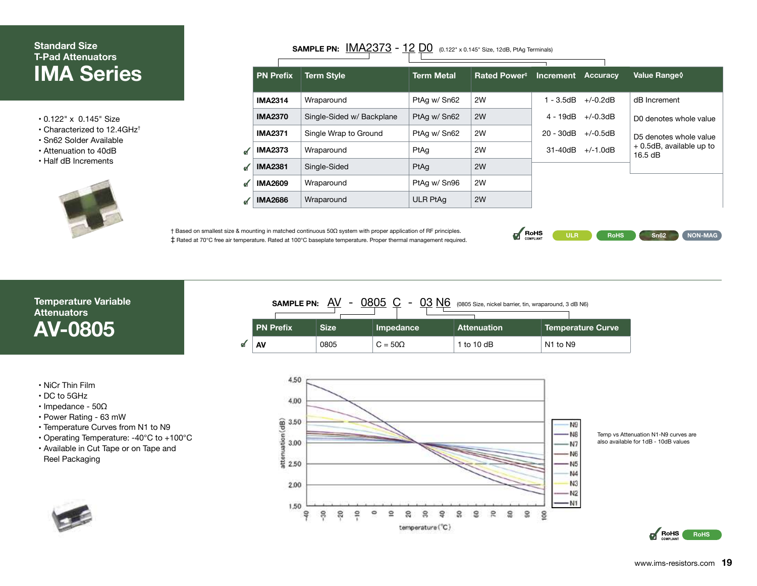## **Standard Size T-Pad Attenuators IMA Series**

- 0.122" x 0.145" Size
- Characterized to 12.4GHz†
- Sn62 Solder Available
- Attenuation to 40dB
- Half dB Increments



|   | SAMPLE PN: <b>IMA2373 - 12 DO</b><br>(0.122" x 0.145" Size, 12dB, PtAg Terminals) |                           |                   |                          |           |            |                                       |  |  |
|---|-----------------------------------------------------------------------------------|---------------------------|-------------------|--------------------------|-----------|------------|---------------------------------------|--|--|
|   | <b>PN Prefix</b>                                                                  | <b>Term Style</b>         | <b>Term Metal</b> | Rated Power <sup>#</sup> | Increment | Accuracy   | Value Range 0                         |  |  |
|   | <b>IMA2314</b>                                                                    | Wraparound                | PtAg w/ Sn62      | 2W                       | 1 - 3.5dB | $+/-0.2dB$ | dB Increment                          |  |  |
|   | <b>IMA2370</b>                                                                    | Single-Sided w/ Backplane | PtAg w/ Sn62      | 2W                       | 4 - 19dB  | $+/-0.3dB$ | D0 denotes whole value                |  |  |
|   | <b>IMA2371</b>                                                                    | Single Wrap to Ground     | PtAg w/ Sn62      | 2W                       | 20 - 30dB | $+/-0.5dB$ | D5 denotes whole value                |  |  |
| ๔ | <b>IMA2373</b>                                                                    | Wraparound                | PtAq              | 2W                       | 31-40dB   | $+/-1.0dB$ | $+$ 0.5dB, available up to<br>16.5 dB |  |  |
| ₫ | <b>IMA2381</b>                                                                    | Single-Sided              | PtAq              | 2W                       |           |            |                                       |  |  |
| ₫ | <b>IMA2609</b>                                                                    | Wraparound                | PtAg w/ Sn96      | 2W                       |           |            |                                       |  |  |
| d | <b>IMA2686</b>                                                                    | Wraparound                | <b>ULR PtAg</b>   | 2W                       |           |            |                                       |  |  |

† Based on smallest size & mounting in matched continuous 50Ω system with proper application of RF principles. ‡ Rated at 70°C free air temperature. Rated at 100°C baseplate temperature. Proper thermal management required.

๔

RoHS **ULR RoHS Sn62 NON-MAG**

#### **Temperature Variable Attenuators AV-0805**

- NiCr Thin Film
- DC to 5GHz
- Impedance 50Ω
- Power Rating 63 mW
- Temperature Curves from N1 to N9
- Operating Temperature: -40°C to +100°C
- Available in Cut Tape or on Tape and Reel Packaging





**SAMPLE PN:**  $AV - 0805 C - 03 N6$  (0805 Size, nickel barrier, tin, wraparound, 3 dB N6)

**AV** | 0805 | C = 50Ω | 1 to 10 dB | N1 to N9

**PN Prefix Size Impedance Attenuation Temperature Curve**

www.ims-resistors.com **19**

**RoHS**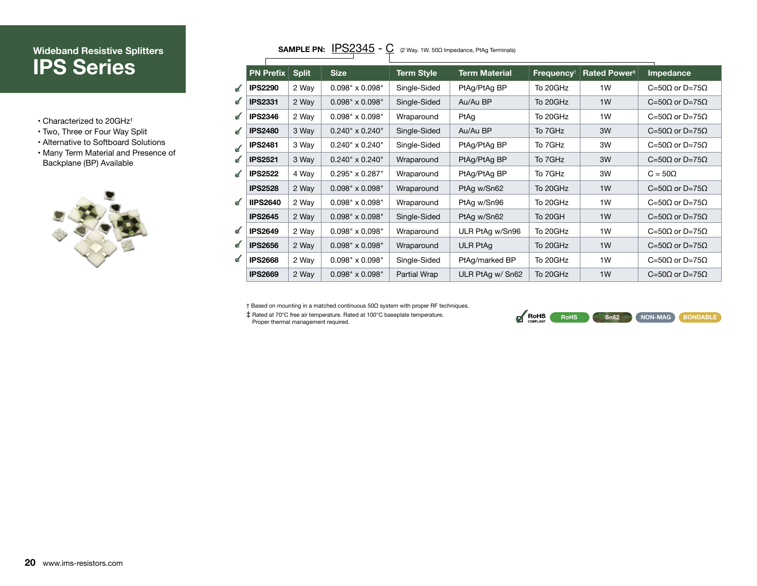## **Wideband Resistive Splitters IPS Series**

- Characterized to 20GHz†
- Two, Three or Four Way Split
- Alternative to Softboard Solutions
- Many Term Material and Presence of Backplane (BP) Available



|               |                  | <b>SAMPLE PN:</b> | <b>IPS2345</b>         | C                 | (2 Way. 1W. 50Ω Impedance, PtAq Terminals) |                        |                          |                                |
|---------------|------------------|-------------------|------------------------|-------------------|--------------------------------------------|------------------------|--------------------------|--------------------------------|
|               | <b>PN Prefix</b> | <b>Split</b>      | <b>Size</b>            | <b>Term Style</b> | <b>Term Material</b>                       | Frequency <sup>†</sup> | Rated Power <sup>#</sup> | Impedance                      |
| ፈ             | <b>IPS2290</b>   | 2 Way             | $0.098" \times 0.098"$ | Single-Sided      | PtAg/PtAg BP                               | To 20GHz               | 1W                       | C=50 $\Omega$ or D=75 $\Omega$ |
| ₫             | <b>IPS2331</b>   | 2 Way             | $0.098" \times 0.098"$ | Single-Sided      | Au/Au BP                                   | To 20GHz               | 1W                       | C=50 $\Omega$ or D=75 $\Omega$ |
| ✔             | <b>IPS2346</b>   | 2 Way             | $0.098" \times 0.098"$ | Wraparound        | PtAg                                       | To 20GHz               | 1W                       | C=50 $\Omega$ or D=75 $\Omega$ |
| ৰ             | <b>IPS2480</b>   | 3 Way             | $0.240" \times 0.240"$ | Single-Sided      | Au/Au BP                                   | To 7GHz                | 3W                       | C=50 $\Omega$ or D=75 $\Omega$ |
| $\mathcal{A}$ | <b>IPS2481</b>   | 3 Way             | $0.240" \times 0.240"$ | Single-Sided      | PtAg/PtAg BP                               | To 7GHz                | 3W                       | C=50 $\Omega$ or D=75 $\Omega$ |
| ₫             | <b>IPS2521</b>   | 3 Way             | $0.240" \times 0.240"$ | Wraparound        | PtAg/PtAg BP                               | To 7GHz                | 3W                       | C=50 $\Omega$ or D=75 $\Omega$ |
| ৵             | <b>IPS2522</b>   | 4 Way             | $0.295" \times 0.287"$ | Wraparound        | PtAg/PtAg BP                               | To 7GHz                | 3W                       | $C = 50\Omega$                 |
|               | <b>IPS2528</b>   | 2 Way             | $0.098" \times 0.098"$ | Wraparound        | PtAg w/Sn62                                | To 20GHz               | 1W                       | C=50 $\Omega$ or D=75 $\Omega$ |
| ๔             | <b>IIPS2640</b>  | 2 Way             | $0.098" \times 0.098"$ | Wraparound        | PtAg w/Sn96                                | To 20GHz               | 1W                       | C=50 $\Omega$ or D=75 $\Omega$ |
|               | <b>IPS2645</b>   | 2 Way             | $0.098" \times 0.098"$ | Single-Sided      | PtAg w/Sn62                                | To 20GH                | 1W                       | C=50 $\Omega$ or D=75 $\Omega$ |
| ๔             | <b>IPS2649</b>   | 2 Way             | $0.098" \times 0.098"$ | Wraparound        | ULR PtAg w/Sn96                            | To 20GHz               | 1W                       | C=50 $\Omega$ or D=75 $\Omega$ |
| ๔             | <b>IPS2656</b>   | 2 Way             | $0.098" \times 0.098"$ | Wraparound        | <b>ULR PtAg</b>                            | To 20GHz               | 1W                       | C=50 $\Omega$ or D=75 $\Omega$ |
| ๔             | <b>IPS2668</b>   | 2 Way             | $0.098" \times 0.098"$ | Single-Sided      | PtAg/marked BP                             | To 20GHz               | 1W                       | C=50 $\Omega$ or D=75 $\Omega$ |
|               | <b>IPS2669</b>   | 2 Way             | $0.098" \times 0.098"$ | Partial Wrap      | ULR PtAg w/ Sn62                           | To 20GHz               | 1W                       | C=50 $\Omega$ or D=75 $\Omega$ |

† Based on mounting in a matched continuous 50Ω system with proper RF techniques.

‡ Rated at 70°C free air temperature. Rated at 100°C baseplate temperature. Proper thermal management required.

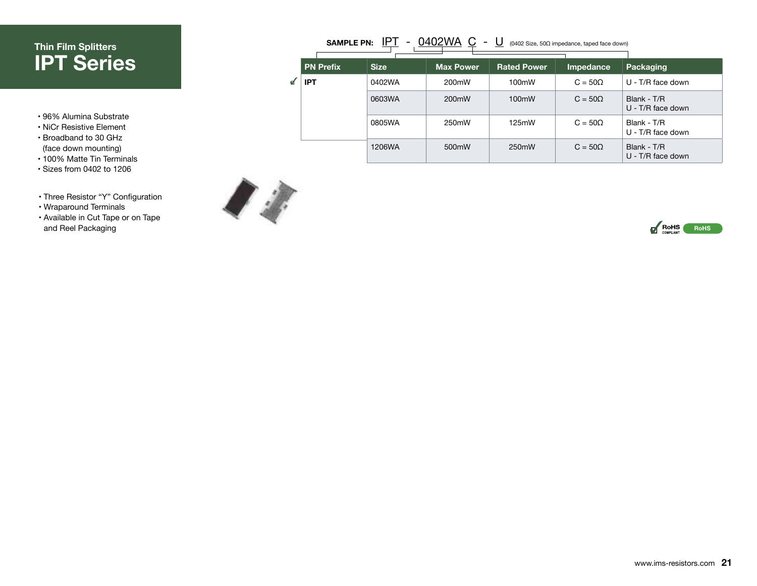## **Thin Film Splitters IPT Series**

- 96% Alumina Substrate
- NiCr Resistive Element
- Broadband to 30 GHz (face down mounting)
- 100% Matte Tin Terminals
- Sizes from 0402 to 1206
- Three Resistor "Y" Configuration
- Wraparound Terminals
- Available in Cut Tape or on Tape and Reel Packaging **RoHS** Rohs

|               | <b>SAMPLE PN:</b> | (0402 Size, $50\Omega$ impedance, taped face down) |                  |                    |                  |                                  |
|---------------|-------------------|----------------------------------------------------|------------------|--------------------|------------------|----------------------------------|
|               | <b>PN Prefix</b>  | <b>Size</b>                                        | <b>Max Power</b> | <b>Rated Power</b> | <b>Impedance</b> | Packaging                        |
| $\mathcal{A}$ | <b>IPT</b>        | 0402WA                                             | 200mW            | 100mW              | $C = 50Q$        | U - T/R face down                |
|               |                   | 0603WA                                             | 200mW            | 100mW              | $C = 50\Omega$   | Blank - T/R<br>U - T/R face down |
|               |                   | 0805WA                                             | 250mW            | 125mW              | $C = 50Q$        | Blank - T/R<br>U - T/R face down |
|               |                   | 1206WA                                             | 500mW            | 250mW              | $C = 50\Omega$   | Blank - T/R<br>U - T/R face down |



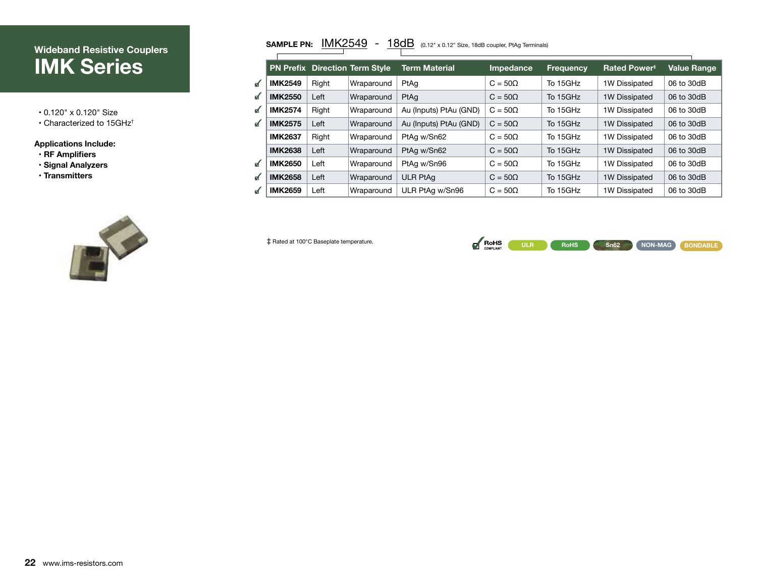# **IMK Series**

- 0.120" x 0.120" Size
- Characterized to 15GHz†

#### **Applications Include:**

- **RF Amplifiers**
- **Signal Analyzers**
- **Transmitters**



## **SAMPLE PN:**  $\underbrace{\mathsf{IMK2549}}$  -  $\underbrace{\mathsf{18dB}}$   $\underbrace{\mathsf{0.12}^{\mathsf{u}} \times \mathsf{0.12}^{\mathsf{u}} \times \mathsf{0.12}^{\mathsf{u}} \times \mathsf{0.12}^{\mathsf{u}} \times \mathsf{0.12}^{\mathsf{u}} \times \mathsf{0.12}^{\mathsf{u}} \times \mathsf{0.12}^{\mathsf{u}} \times \mathsf{0.12}^{\mathsf{u}} \times \mathsf{0.12}^{\mathsf{u}} \times \mathsf{0.12}^$

|               |                |       | <b>PN Prefix Direction Term Style</b> | <b>Term Material</b>   | Impedance      | <b>Frequency</b> | <b>Rated Power#</b> | <b>Value Range</b> |
|---------------|----------------|-------|---------------------------------------|------------------------|----------------|------------------|---------------------|--------------------|
| $\mathcal{A}$ | <b>IMK2549</b> | Right | Wraparound                            | PtAq                   | $C = 50Q$      | To 15GHz         | Dissipated<br>1W    | 06 to 30dB         |
| ๔             | <b>IMK2550</b> | Left  | Wraparound                            | PtAq                   | $C = 50\Omega$ | To 15GHz         | 1W Dissipated       | 06 to 30dB         |
| ๔             | <b>IMK2574</b> | Right | Wraparound                            | Au (Inputs) PtAu (GND) | $C = 50Q$      | To 15GHz         | 1W Dissipated       | 06 to 30dB         |
| $\mathbf{d}$  | <b>IMK2575</b> | Left  | Wraparound                            | Au (Inputs) PtAu (GND) | $C = 50\Omega$ | To 15GHz         | 1W Dissipated       | 06 to 30dB         |
|               | <b>IMK2637</b> | Right | Wraparound                            | PtAg w/Sn62            | $C = 50\Omega$ | To 15GHz         | 1W Dissipated       | 06 to 30dB         |
|               | <b>IMK2638</b> | Left  | Wraparound                            | PtAg w/Sn62            | $C = 50\Omega$ | To 15GHz         | 1W Dissipated       | 06 to 30dB         |
| $\mathbf{d}$  | <b>IMK2650</b> | Left  | Wraparound                            | PtAg w/Sn96            | $C = 50Q$      | To 15GHz         | 1W Dissipated       | 06 to 30dB         |
| $\mathbf{d}$  | <b>IMK2658</b> | Left  | Wraparound                            | <b>ULR PtAg</b>        | $C = 50\Omega$ | To 15GHz         | 1W Dissipated       | 06 to 30dB         |
| d             | <b>IMK2659</b> | Left  | Wraparound                            | ULR PtAg w/Sn96        | $C = 50\Omega$ | To 15GHz         | 1W Dissipated       | 06 to 30dB         |

‡ Rated at 100°C Baseplate temperature.

RoHS **ULR RoHS Sn62 NON-MAG BONDABLE**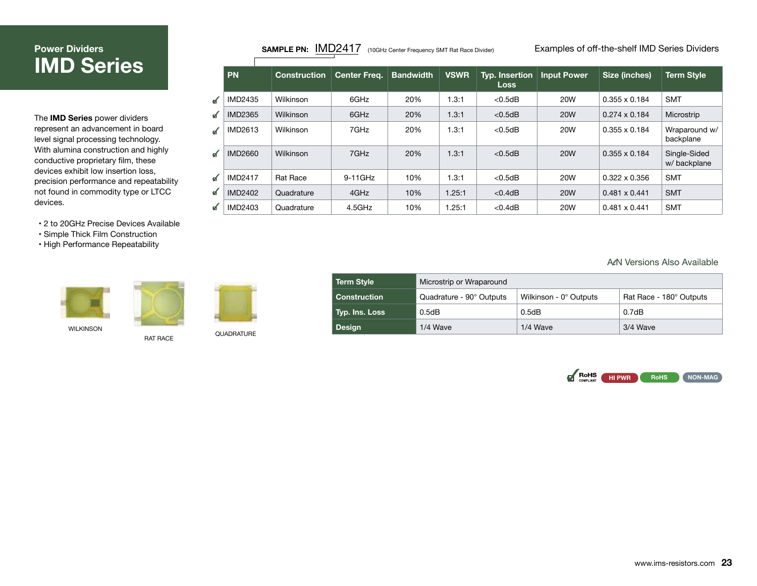## **Power Dividers IMD Series**

The **IMD Series** power dividers represent an advancement in board level signal processing technology. With alumina construction and highly conductive proprietary film, these devices exhibit low insertion loss, precision performance and repeatability not found in commodity type or LTCC devices.

- 2 to 20GHz Precise Devices Available
- Simple Thick Film Construction
- High Performance Repeatability

| ı<br>۰ |  |
|--------|--|
|        |  |
|        |  |
|        |  |

WILKINSON

RAT RACE QUADRATURE

| <b>Term Style</b>   | Microstrip or Wraparound |                        |                         |  |  |  |
|---------------------|--------------------------|------------------------|-------------------------|--|--|--|
| <b>Construction</b> | Quadrature - 90° Outputs | Wilkinson - 0° Outputs | Rat Race - 180° Outputs |  |  |  |
| Typ. Ins. Loss      | 0.5dB                    | 0.5dB                  | 0.7dB                   |  |  |  |
| Design              | $1/4$ Wave               | 1/4 Wave               | 3/4 Wave                |  |  |  |



|                | PN.            | <b>Construction</b> | <b>Center Frea.</b> | <b>Bandwidth</b> | <b>VSWR</b> | <b>Typ. Insertion</b><br><b>Loss</b> | <b>Input Power</b> | Size (inches)        | <b>Term Style</b>           |
|----------------|----------------|---------------------|---------------------|------------------|-------------|--------------------------------------|--------------------|----------------------|-----------------------------|
| $\mathscr{A}$  | <b>IMD2435</b> | Wilkinson           | 6GHz                | 20%              | 1.3:1       | $<$ 0.5dB                            | <b>20W</b>         | $0.355 \times 0.184$ | <b>SMT</b>                  |
| $\mathcal{A}$  | <b>IMD2365</b> | <b>Wilkinson</b>    | 6GHz                | 20%              | 1.3:1       | $< 0.5$ dB                           | <b>20W</b>         | $0.274 \times 0.184$ | Microstrip                  |
| $\overline{a}$ | IMD2613        | Wilkinson           | 7GHz                | 20%              | 1.3:1       | $<$ 0.5dB                            | <b>20W</b>         | $0.355 \times 0.184$ | Wraparound w/<br>backplane  |
| $\mathbf{d}$   | <b>IMD2660</b> | <b>Wilkinson</b>    | 7GHz                | 20%              | 1.3:1       | $< 0.5$ dB                           | <b>20W</b>         | $0.355 \times 0.184$ | Single-Sided<br>w/backplane |
| $\mathcal{A}$  | <b>IMD2417</b> | Rat Race            | $9-11$ GHz          | 10%              | 1.3:1       | $<$ 0.5dB                            | 20W                | $0.322 \times 0.356$ | <b>SMT</b>                  |
| $\mathbf{d}$   | <b>IMD2402</b> | Quadrature          | 4GHz                | 10%              | 1.25:1      | < 0.4dB                              | <b>20W</b>         | $0.481 \times 0.441$ | <b>SMT</b>                  |
| ৰ              | <b>IMD2403</b> | Quadrature          | 4.5GHz              | 10%              | 1.25:1      | $<$ 0.4dB                            | <b>20W</b>         | $0.481 \times 0.441$ | <b>SMT</b>                  |

A*l*N Versions Also Available

#### **SAMPLE PN:** IMD2417(10GHz Center Frequency SMT Rat Race Divider) Examples of off-the-shelf IMD Series Dividers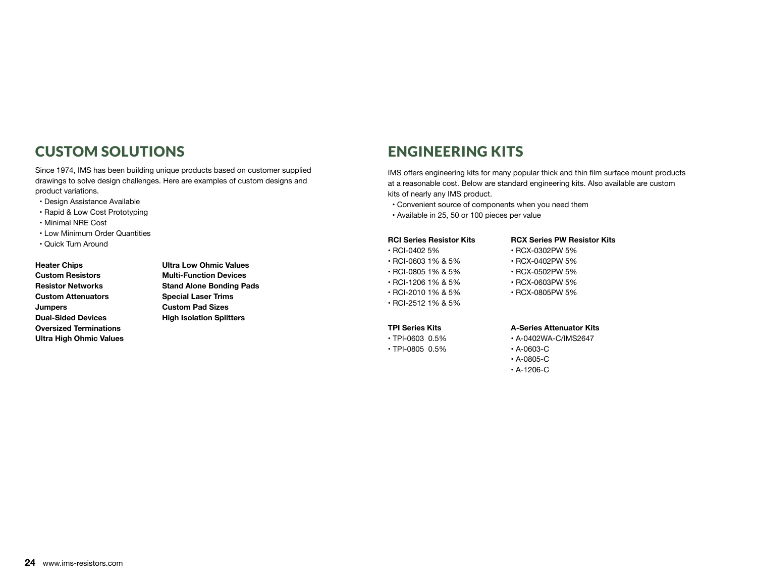## CUSTOM SOLUTIONS ENGINEERING KITS

Since 1974, IMS has been building unique products based on customer supplied drawings to solve design challenges. Here are examples of custom designs and product variations.

- Design Assistance Available
- Rapid & Low Cost Prototyping
- Minimal NRE Cost
- Low Minimum Order Quantities
- Quick Turn Around

**Heater Chips Custom Resistors Resistor Networks Custom Attenuators Jumpers Dual-Sided Devices Oversized Terminations Ultra High Ohmic Values**

#### **Ultra Low Ohmic Values Multi-Function Devices Stand Alone Bonding Pads Special Laser Trims Custom Pad Sizes High Isolation Splitters**

IMS offers engineering kits for many popular thick and thin film surface mount products at a reasonable cost. Below are standard engineering kits. Also available are custom kits of nearly any IMS product.

- Convenient source of components when you need them
- Available in 25, 50 or 100 pieces per value

#### **RCI Series Resistor Kits**

- RCI-0402 5%
- RCI-0603 1% & 5%
- RCI-0805 1% & 5%
- RCI-1206 1% & 5%
- RCI-2010 1% & 5%
- RCI-2512 1% & 5%
- **TPI Series Kits**
- TPI-0603 0.5%
- TPI-0805 0.5%

#### **RCX Series PW Resistor Kits**

- RCX-0302PW 5%
- RCX-0402PW 5%
- RCX-0502PW 5%
- RCX-0603PW 5%
- RCX-0805PW 5%

#### **A-Series Attenuator Kits**

- A-0402WA-C/IMS2647
- A-0603-C
- A-0805-C
- A-1206-C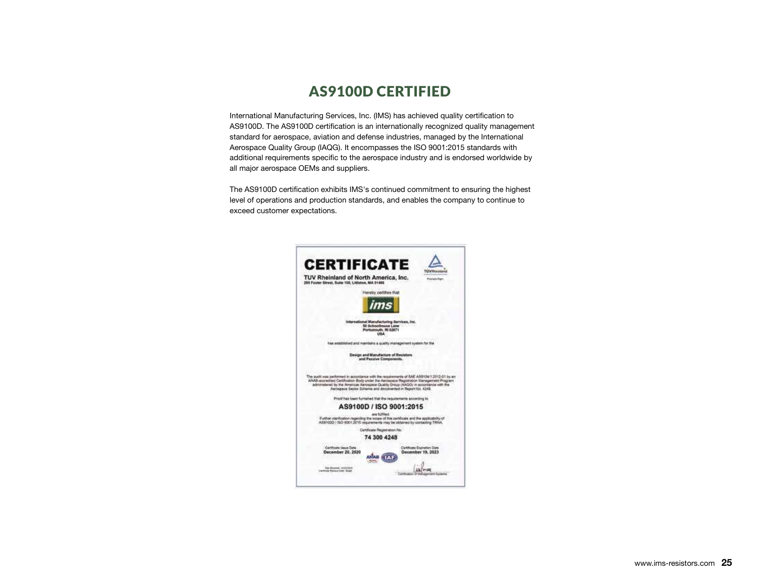## AS9100D CERTIFIED

International Manufacturing Services, Inc. (IMS) has achieved quality certification to AS9100D. The AS9100D certification is an internationally recognized quality management standard for aerospace, aviation and defense industries, managed by the International Aerospace Quality Group (IAQG). It encompasses the ISO 9001:2015 standards with additional requirements specific to the aerospace industry and is endorsed worldwide by all major aerospace OEMs and suppliers.

The AS9100D certification exhibits IMS's continued commitment to ensuring the highest level of operations and production standards, and enables the company to continue to exceed customer expectations.